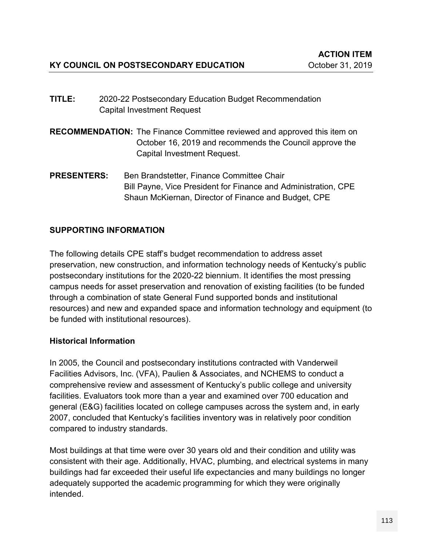- **TITLE:** 2020-22 Postsecondary Education Budget Recommendation Capital Investment Request
- **RECOMMENDATION:** The Finance Committee reviewed and approved this item on October 16, 2019 and recommends the Council approve the Capital Investment Request.
- **PRESENTERS:** Ben Brandstetter, Finance Committee Chair Bill Payne, Vice President for Finance and Administration, CPE Shaun McKiernan, Director of Finance and Budget, CPE

## **SUPPORTING INFORMATION**

The following details CPE staff's budget recommendation to address asset preservation, new construction, and information technology needs of Kentucky's public postsecondary institutions for the 2020-22 biennium. It identifies the most pressing campus needs for asset preservation and renovation of existing facilities (to be funded through a combination of state General Fund supported bonds and institutional resources) and new and expanded space and information technology and equipment (to be funded with institutional resources).

## **Historical Information**

In 2005, the Council and postsecondary institutions contracted with Vanderweil Facilities Advisors, Inc. (VFA), Paulien & Associates, and NCHEMS to conduct a comprehensive review and assessment of Kentucky's public college and university facilities. Evaluators took more than a year and examined over 700 education and general (E&G) facilities located on college campuses across the system and, in early 2007, concluded that Kentucky's facilities inventory was in relatively poor condition compared to industry standards.

Most buildings at that time were over 30 years old and their condition and utility was consistent with their age. Additionally, HVAC, plumbing, and electrical systems in many buildings had far exceeded their useful life expectancies and many buildings no longer adequately supported the academic programming for which they were originally intended.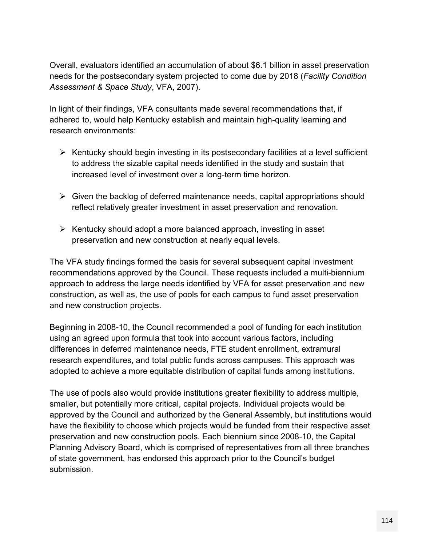Overall, evaluators identified an accumulation of about \$6.1 billion in asset preservation needs for the postsecondary system projected to come due by 2018 (*Facility Condition Assessment & Space Study*, VFA, 2007).

In light of their findings, VFA consultants made several recommendations that, if adhered to, would help Kentucky establish and maintain high-quality learning and research environments:

- $\triangleright$  Kentucky should begin investing in its postsecondary facilities at a level sufficient to address the sizable capital needs identified in the study and sustain that increased level of investment over a long-term time horizon.
- $\triangleright$  Given the backlog of deferred maintenance needs, capital appropriations should reflect relatively greater investment in asset preservation and renovation.
- $\triangleright$  Kentucky should adopt a more balanced approach, investing in asset preservation and new construction at nearly equal levels.

The VFA study findings formed the basis for several subsequent capital investment recommendations approved by the Council. These requests included a multi-biennium approach to address the large needs identified by VFA for asset preservation and new construction, as well as, the use of pools for each campus to fund asset preservation and new construction projects.

Beginning in 2008-10, the Council recommended a pool of funding for each institution using an agreed upon formula that took into account various factors, including differences in deferred maintenance needs, FTE student enrollment, extramural research expenditures, and total public funds across campuses. This approach was adopted to achieve a more equitable distribution of capital funds among institutions.

The use of pools also would provide institutions greater flexibility to address multiple, smaller, but potentially more critical, capital projects. Individual projects would be approved by the Council and authorized by the General Assembly, but institutions would have the flexibility to choose which projects would be funded from their respective asset preservation and new construction pools. Each biennium since 2008-10, the Capital Planning Advisory Board, which is comprised of representatives from all three branches of state government, has endorsed this approach prior to the Council's budget submission.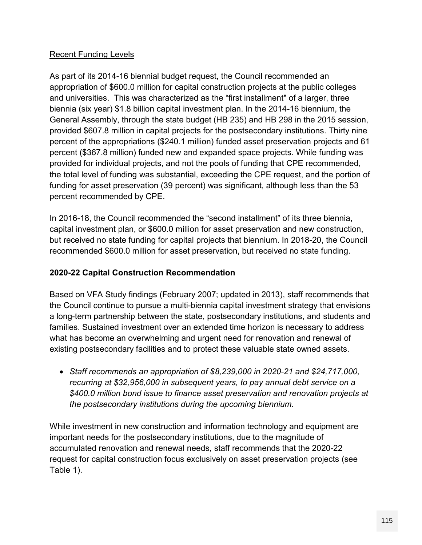## Recent Funding Levels

As part of its 2014-16 biennial budget request, the Council recommended an appropriation of \$600.0 million for capital construction projects at the public colleges and universities. This was characterized as the "first installment" of a larger, three biennia (six year) \$1.8 billion capital investment plan. In the 2014-16 biennium, the General Assembly, through the state budget (HB 235) and HB 298 in the 2015 session, provided \$607.8 million in capital projects for the postsecondary institutions. Thirty nine percent of the appropriations (\$240.1 million) funded asset preservation projects and 61 percent (\$367.8 million) funded new and expanded space projects. While funding was provided for individual projects, and not the pools of funding that CPE recommended, the total level of funding was substantial, exceeding the CPE request, and the portion of funding for asset preservation (39 percent) was significant, although less than the 53 percent recommended by CPE.

In 2016-18, the Council recommended the "second installment" of its three biennia, capital investment plan, or \$600.0 million for asset preservation and new construction, but received no state funding for capital projects that biennium. In 2018-20, the Council recommended \$600.0 million for asset preservation, but received no state funding.

## **2020-22 Capital Construction Recommendation**

Based on VFA Study findings (February 2007; updated in 2013), staff recommends that the Council continue to pursue a multi-biennia capital investment strategy that envisions a long-term partnership between the state, postsecondary institutions, and students and families. Sustained investment over an extended time horizon is necessary to address what has become an overwhelming and urgent need for renovation and renewal of existing postsecondary facilities and to protect these valuable state owned assets.

 *Staff recommends an appropriation of \$8,239,000 in 2020-21 and \$24,717,000, recurring at \$32,956,000 in subsequent years, to pay annual debt service on a \$400.0 million bond issue to finance asset preservation and renovation projects at the postsecondary institutions during the upcoming biennium.*

While investment in new construction and information technology and equipment are important needs for the postsecondary institutions, due to the magnitude of accumulated renovation and renewal needs, staff recommends that the 2020-22 request for capital construction focus exclusively on asset preservation projects (see Table 1).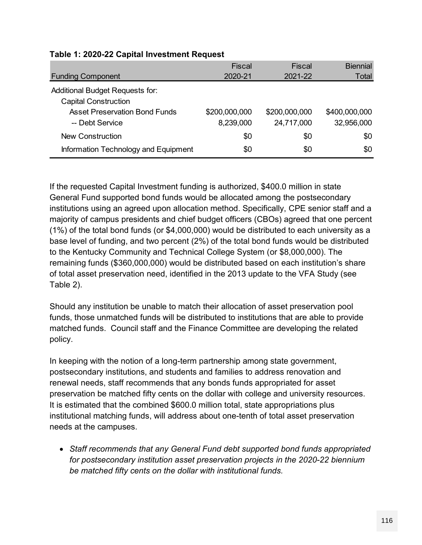| Table 1: 2020-22 Capital Investment Request                    |                            |                             |                             |
|----------------------------------------------------------------|----------------------------|-----------------------------|-----------------------------|
|                                                                | <b>Fiscal</b>              | Fiscal                      | <b>Biennial</b>             |
| <b>Funding Component</b>                                       | 2020-21                    | 2021-22                     | Total                       |
| Additional Budget Requests for:<br><b>Capital Construction</b> |                            |                             |                             |
| <b>Asset Preservation Bond Funds</b><br>-- Debt Service        | \$200,000,000<br>8,239,000 | \$200,000,000<br>24,717,000 | \$400,000,000<br>32,956,000 |
| <b>New Construction</b>                                        | \$0                        | \$0                         | \$0                         |
| Information Technology and Equipment                           | \$0                        | \$0                         | \$0                         |

## **Table 1: 2020-22 Capital Investment Request**

If the requested Capital Investment funding is authorized, \$400.0 million in state General Fund supported bond funds would be allocated among the postsecondary institutions using an agreed upon allocation method. Specifically, CPE senior staff and a majority of campus presidents and chief budget officers (CBOs) agreed that one percent (1%) of the total bond funds (or \$4,000,000) would be distributed to each university as a base level of funding, and two percent (2%) of the total bond funds would be distributed to the Kentucky Community and Technical College System (or \$8,000,000). The remaining funds (\$360,000,000) would be distributed based on each institution's share of total asset preservation need, identified in the 2013 update to the VFA Study (see Table 2).

Should any institution be unable to match their allocation of asset preservation pool funds, those unmatched funds will be distributed to institutions that are able to provide matched funds. Council staff and the Finance Committee are developing the related policy.

In keeping with the notion of a long-term partnership among state government, postsecondary institutions, and students and families to address renovation and renewal needs, staff recommends that any bonds funds appropriated for asset preservation be matched fifty cents on the dollar with college and university resources. It is estimated that the combined \$600.0 million total, state appropriations plus institutional matching funds, will address about one-tenth of total asset preservation needs at the campuses.

 *Staff recommends that any General Fund debt supported bond funds appropriated for postsecondary institution asset preservation projects in the 2020-22 biennium be matched fifty cents on the dollar with institutional funds.*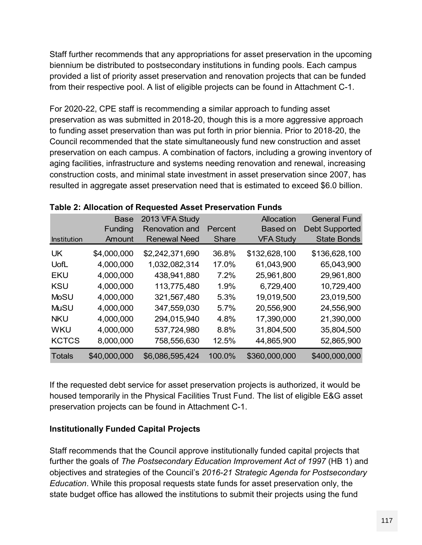Staff further recommends that any appropriations for asset preservation in the upcoming biennium be distributed to postsecondary institutions in funding pools. Each campus provided a list of priority asset preservation and renovation projects that can be funded from their respective pool. A list of eligible projects can be found in Attachment C-1.

For 2020-22, CPE staff is recommending a similar approach to funding asset preservation as was submitted in 2018-20, though this is a more aggressive approach to funding asset preservation than was put forth in prior biennia. Prior to 2018-20, the Council recommended that the state simultaneously fund new construction and asset preservation on each campus. A combination of factors, including a growing inventory of aging facilities, infrastructure and systems needing renovation and renewal, increasing construction costs, and minimal state investment in asset preservation since 2007, has resulted in aggregate asset preservation need that is estimated to exceed \$6.0 billion.

| resulted in aggregate asset preservation need that is estimated to exceed \$6.0 billion. |              |                                                           |              |                  |                       |  |  |  |  |  |  |
|------------------------------------------------------------------------------------------|--------------|-----------------------------------------------------------|--------------|------------------|-----------------------|--|--|--|--|--|--|
|                                                                                          |              | Table 2: Allocation of Requested Asset Preservation Funds |              |                  |                       |  |  |  |  |  |  |
|                                                                                          | <b>Base</b>  | 2013 VFA Study                                            |              | Allocation       | <b>General Fund</b>   |  |  |  |  |  |  |
|                                                                                          | Funding      | <b>Renovation and</b>                                     | Percent      | <b>Based on</b>  | <b>Debt Supported</b> |  |  |  |  |  |  |
| Institution                                                                              | Amount       | <b>Renewal Need</b>                                       | <b>Share</b> | <b>VFA Study</b> | <b>State Bonds</b>    |  |  |  |  |  |  |
| <b>UK</b>                                                                                | \$4,000,000  | \$2,242,371,690                                           | 36.8%        | \$132,628,100    | \$136,628,100         |  |  |  |  |  |  |
| UofL                                                                                     | 4,000,000    | 1,032,082,314                                             | 17.0%        | 61,043,900       | 65,043,900            |  |  |  |  |  |  |
| <b>EKU</b>                                                                               | 4,000,000    | 438,941,880                                               | 7.2%         | 25,961,800       | 29,961,800            |  |  |  |  |  |  |
| <b>KSU</b>                                                                               | 4,000,000    | 113,775,480                                               | 1.9%         | 6,729,400        | 10,729,400            |  |  |  |  |  |  |
| <b>MoSU</b>                                                                              | 4,000,000    | 321,567,480                                               | 5.3%         | 19,019,500       | 23,019,500            |  |  |  |  |  |  |
| <b>MuSU</b>                                                                              | 4,000,000    | 347,559,030                                               | 5.7%         | 20,556,900       | 24,556,900            |  |  |  |  |  |  |
| <b>NKU</b>                                                                               | 4,000,000    | 294,015,940                                               | 4.8%         | 17,390,000       | 21,390,000            |  |  |  |  |  |  |
| <b>WKU</b>                                                                               | 4,000,000    | 537,724,980                                               | 8.8%         | 31,804,500       | 35,804,500            |  |  |  |  |  |  |
| <b>KCTCS</b>                                                                             | 8,000,000    | 758,556,630                                               | 12.5%        | 44,865,900       | 52,865,900            |  |  |  |  |  |  |
| <b>Totals</b>                                                                            | \$40,000,000 | \$6,086,595,424                                           | 100.0%       | \$360,000,000    | \$400,000,000         |  |  |  |  |  |  |
|                                                                                          |              |                                                           |              |                  |                       |  |  |  |  |  |  |

| Table 2: Allocation of Requested Asset Preservation Funds |  |
|-----------------------------------------------------------|--|
|-----------------------------------------------------------|--|

If the requested debt service for asset preservation projects is authorized, it would be housed temporarily in the Physical Facilities Trust Fund. The list of eligible E&G asset preservation projects can be found in Attachment C-1.

## **Institutionally Funded Capital Projects**

Staff recommends that the Council approve institutionally funded capital projects that further the goals of *The Postsecondary Education Improvement Act of 1997* (HB 1) and objectives and strategies of the Council's *2016-21 Strategic Agenda for Postsecondary Education*. While this proposal requests state funds for asset preservation only, the state budget office has allowed the institutions to submit their projects using the fund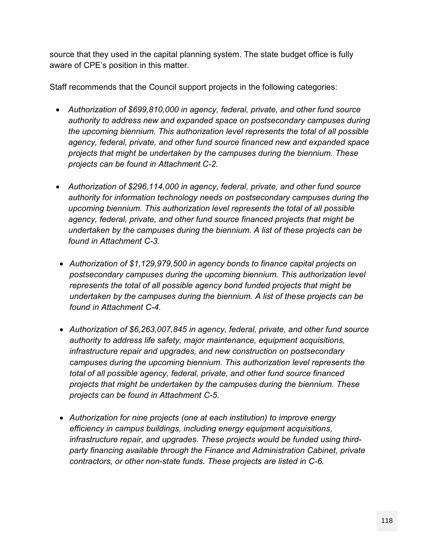source that they used in the capital planning system. The state budget office is fully aware of CPE's position in this matter.

Staff recommends that the Council support projects in the following categories:

- *Authorization of \$699,810,000 in agency, federal, private, and other fund source authority to address new and expanded space on postsecondary campuses during the upcoming biennium. This authorization level represents the total of all possible agency, federal, private, and other fund source financed new and expanded space projects that might be undertaken by the campuses during the biennium. These projects can be found in Attachment C-2.*
- *Authorization of \$296,114,000 in agency, federal, private, and other fund source authority for information technology needs on postsecondary campuses during the upcoming biennium. This authorization level represents the total of all possible agency, federal, private, and other fund source financed projects that might be undertaken by the campuses during the biennium. A list of these projects can be found in Attachment C-3.*
- *Authorization of \$1,129,979,500 in agency bonds to finance capital projects on postsecondary campuses during the upcoming biennium. This authorization level represents the total of all possible agency bond funded projects that might be undertaken by the campuses during the biennium. A list of these projects can be found in Attachment C-4.*
- *Authorization of \$6,263,007,845 in agency, federal, private, and other fund source authority to address life safety, major maintenance, equipment acquisitions, infrastructure repair and upgrades, and new construction on postsecondary campuses during the upcoming biennium. This authorization level represents the total of all possible agency, federal, private, and other fund source financed projects that might be undertaken by the campuses during the biennium. These projects can be found in Attachment C-5.*
- *Authorization for nine projects (one at each institution) to improve energy efficiency in campus buildings, including energy equipment acquisitions, infrastructure repair, and upgrades. These projects would be funded using thirdparty financing available through the Finance and Administration Cabinet, private contractors, or other non-state funds. These projects are listed in C-6.*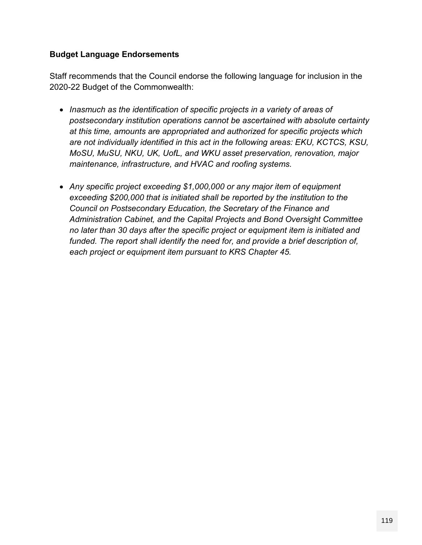## **Budget Language Endorsements**

Staff recommends that the Council endorse the following language for inclusion in the 2020-22 Budget of the Commonwealth:

- *Inasmuch as the identification of specific projects in a variety of areas of postsecondary institution operations cannot be ascertained with absolute certainty at this time, amounts are appropriated and authorized for specific projects which are not individually identified in this act in the following areas: EKU, KCTCS, KSU, MoSU, MuSU, NKU, UK, UofL, and WKU asset preservation, renovation, major maintenance, infrastructure, and HVAC and roofing systems.*
- *Any specific project exceeding \$1,000,000 or any major item of equipment exceeding \$200,000 that is initiated shall be reported by the institution to the Council on Postsecondary Education, the Secretary of the Finance and Administration Cabinet, and the Capital Projects and Bond Oversight Committee no later than 30 days after the specific project or equipment item is initiated and funded. The report shall identify the need for, and provide a brief description of, each project or equipment item pursuant to KRS Chapter 45.*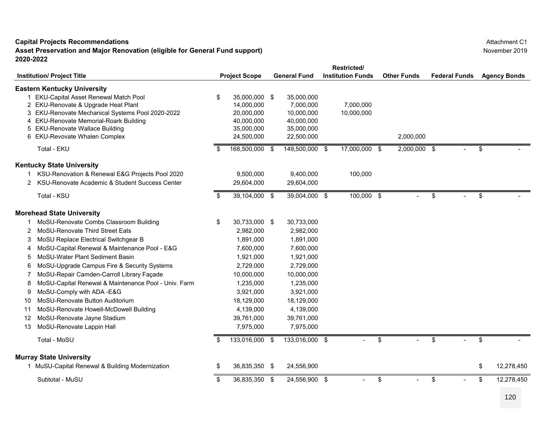**Asset Preservation and Major Renovation (eligible for General Fund support) 2020-2022**

| Restricted/<br><b>General Fund</b><br><b>Institution Funds</b><br><b>Institution/ Project Title</b><br><b>Project Scope</b><br><b>Eastern Kentucky University</b><br>\$<br>1 EKU-Capital Asset Renewal Match Pool<br>35,000,000 \$<br>35,000,000<br>2 EKU-Renovate & Upgrade Heat Plant<br>14,000,000<br>7,000,000<br>3 EKU-Renovate Mechanical Systems Pool 2020-2022<br>20,000,000<br>10,000,000<br>4 EKU-Renovate Memorial-Roark Building<br>40,000,000<br>40,000,000<br>5 EKU-Renovate Wallace Building<br>35,000,000<br>35,000,000<br>6 EKU-Revovate Whalen Complex<br>24,500,000<br>22,500,000<br>Total - EKU<br>168,500,000 \$<br>149,500,000 \$<br><b>Kentucky State University</b><br>KSU-Renovation & Renewal E&G Projects Pool 2020<br>9,500,000<br>9,400,000<br>KSU-Renovate Academic & Student Success Center<br>29,604,000<br>29,604,000<br>2<br>Total - KSU<br>\$<br>39,104,000 \$<br>39,004,000 \$<br><b>Morehead State University</b><br>MoSU-Renovate Combs Classroom Building<br>\$<br>30,733,000 \$<br>30,733,000<br>MoSU-Renovate Third Street Eats<br>2,982,000<br>2<br>2,982,000<br>MoSU Replace Electrical Switchgear B<br>1,891,000<br>1,891,000<br>3<br>MoSU-Capital Renewal & Maintenance Pool - E&G<br>7,600,000<br>7,600,000<br>4<br>MoSU-Water Plant Sediment Basin<br>5<br>1,921,000<br>1,921,000<br>MoSU-Upgrade Campus Fire & Security Systems<br>6<br>2,729,000<br>2,729,000<br>MoSU-Repair Camden-Carroll Library Façade<br>10,000,000<br>10,000,000<br>MoSU-Capital Renewal & Maintenance Pool - Univ. Farm<br>8<br>1,235,000<br>1,235,000<br>MoSU-Comply with ADA -E&G<br>9<br>3,921,000<br>3,921,000<br>MoSU-Renovate Button Auditorium<br>18,129,000<br>10<br>18,129,000<br>MoSU-Renovate Howell-McDowell Building<br>4,139,000<br>4,139,000<br>11<br>MoSU-Renovate Jayne Stadium<br>39,761,000<br>39,761,000<br>12<br>MoSU-Renovate Lappin Hall<br>7,975,000<br>7,975,000<br>13<br>Total - MoSU<br>133,016,000 \$<br>133,016,000 \$<br>\$<br><b>Murray State University</b><br>1 MuSU-Capital Renewal & Building Modernization<br>36,835,350 \$<br>24,556,900<br>\$ | <b>Other Funds</b> | <b>Federal Funds</b> | <b>Agency Bonds</b> |               |              |    |                  |
|-------------------------------------------------------------------------------------------------------------------------------------------------------------------------------------------------------------------------------------------------------------------------------------------------------------------------------------------------------------------------------------------------------------------------------------------------------------------------------------------------------------------------------------------------------------------------------------------------------------------------------------------------------------------------------------------------------------------------------------------------------------------------------------------------------------------------------------------------------------------------------------------------------------------------------------------------------------------------------------------------------------------------------------------------------------------------------------------------------------------------------------------------------------------------------------------------------------------------------------------------------------------------------------------------------------------------------------------------------------------------------------------------------------------------------------------------------------------------------------------------------------------------------------------------------------------------------------------------------------------------------------------------------------------------------------------------------------------------------------------------------------------------------------------------------------------------------------------------------------------------------------------------------------------------------------------------------------------------------------------------------------------------------------------------------------------------------------------------------------|--------------------|----------------------|---------------------|---------------|--------------|----|------------------|
|                                                                                                                                                                                                                                                                                                                                                                                                                                                                                                                                                                                                                                                                                                                                                                                                                                                                                                                                                                                                                                                                                                                                                                                                                                                                                                                                                                                                                                                                                                                                                                                                                                                                                                                                                                                                                                                                                                                                                                                                                                                                                                             |                    |                      |                     |               |              |    |                  |
|                                                                                                                                                                                                                                                                                                                                                                                                                                                                                                                                                                                                                                                                                                                                                                                                                                                                                                                                                                                                                                                                                                                                                                                                                                                                                                                                                                                                                                                                                                                                                                                                                                                                                                                                                                                                                                                                                                                                                                                                                                                                                                             |                    |                      |                     |               |              |    |                  |
|                                                                                                                                                                                                                                                                                                                                                                                                                                                                                                                                                                                                                                                                                                                                                                                                                                                                                                                                                                                                                                                                                                                                                                                                                                                                                                                                                                                                                                                                                                                                                                                                                                                                                                                                                                                                                                                                                                                                                                                                                                                                                                             |                    |                      |                     | 7,000,000     |              |    |                  |
|                                                                                                                                                                                                                                                                                                                                                                                                                                                                                                                                                                                                                                                                                                                                                                                                                                                                                                                                                                                                                                                                                                                                                                                                                                                                                                                                                                                                                                                                                                                                                                                                                                                                                                                                                                                                                                                                                                                                                                                                                                                                                                             |                    |                      |                     | 10,000,000    |              |    |                  |
|                                                                                                                                                                                                                                                                                                                                                                                                                                                                                                                                                                                                                                                                                                                                                                                                                                                                                                                                                                                                                                                                                                                                                                                                                                                                                                                                                                                                                                                                                                                                                                                                                                                                                                                                                                                                                                                                                                                                                                                                                                                                                                             |                    |                      |                     |               |              |    |                  |
|                                                                                                                                                                                                                                                                                                                                                                                                                                                                                                                                                                                                                                                                                                                                                                                                                                                                                                                                                                                                                                                                                                                                                                                                                                                                                                                                                                                                                                                                                                                                                                                                                                                                                                                                                                                                                                                                                                                                                                                                                                                                                                             |                    |                      |                     |               |              |    |                  |
|                                                                                                                                                                                                                                                                                                                                                                                                                                                                                                                                                                                                                                                                                                                                                                                                                                                                                                                                                                                                                                                                                                                                                                                                                                                                                                                                                                                                                                                                                                                                                                                                                                                                                                                                                                                                                                                                                                                                                                                                                                                                                                             |                    |                      |                     |               | 2,000,000    |    |                  |
|                                                                                                                                                                                                                                                                                                                                                                                                                                                                                                                                                                                                                                                                                                                                                                                                                                                                                                                                                                                                                                                                                                                                                                                                                                                                                                                                                                                                                                                                                                                                                                                                                                                                                                                                                                                                                                                                                                                                                                                                                                                                                                             |                    |                      |                     | 17,000,000 \$ | 2,000,000 \$ |    | \$               |
|                                                                                                                                                                                                                                                                                                                                                                                                                                                                                                                                                                                                                                                                                                                                                                                                                                                                                                                                                                                                                                                                                                                                                                                                                                                                                                                                                                                                                                                                                                                                                                                                                                                                                                                                                                                                                                                                                                                                                                                                                                                                                                             |                    |                      |                     |               |              |    |                  |
|                                                                                                                                                                                                                                                                                                                                                                                                                                                                                                                                                                                                                                                                                                                                                                                                                                                                                                                                                                                                                                                                                                                                                                                                                                                                                                                                                                                                                                                                                                                                                                                                                                                                                                                                                                                                                                                                                                                                                                                                                                                                                                             |                    |                      |                     | 100,000       |              |    |                  |
|                                                                                                                                                                                                                                                                                                                                                                                                                                                                                                                                                                                                                                                                                                                                                                                                                                                                                                                                                                                                                                                                                                                                                                                                                                                                                                                                                                                                                                                                                                                                                                                                                                                                                                                                                                                                                                                                                                                                                                                                                                                                                                             |                    |                      |                     |               |              |    |                  |
|                                                                                                                                                                                                                                                                                                                                                                                                                                                                                                                                                                                                                                                                                                                                                                                                                                                                                                                                                                                                                                                                                                                                                                                                                                                                                                                                                                                                                                                                                                                                                                                                                                                                                                                                                                                                                                                                                                                                                                                                                                                                                                             |                    |                      |                     | 100,000 \$    |              | \$ | \$               |
|                                                                                                                                                                                                                                                                                                                                                                                                                                                                                                                                                                                                                                                                                                                                                                                                                                                                                                                                                                                                                                                                                                                                                                                                                                                                                                                                                                                                                                                                                                                                                                                                                                                                                                                                                                                                                                                                                                                                                                                                                                                                                                             |                    |                      |                     |               |              |    |                  |
|                                                                                                                                                                                                                                                                                                                                                                                                                                                                                                                                                                                                                                                                                                                                                                                                                                                                                                                                                                                                                                                                                                                                                                                                                                                                                                                                                                                                                                                                                                                                                                                                                                                                                                                                                                                                                                                                                                                                                                                                                                                                                                             |                    |                      |                     |               |              |    |                  |
|                                                                                                                                                                                                                                                                                                                                                                                                                                                                                                                                                                                                                                                                                                                                                                                                                                                                                                                                                                                                                                                                                                                                                                                                                                                                                                                                                                                                                                                                                                                                                                                                                                                                                                                                                                                                                                                                                                                                                                                                                                                                                                             |                    |                      |                     |               |              |    |                  |
|                                                                                                                                                                                                                                                                                                                                                                                                                                                                                                                                                                                                                                                                                                                                                                                                                                                                                                                                                                                                                                                                                                                                                                                                                                                                                                                                                                                                                                                                                                                                                                                                                                                                                                                                                                                                                                                                                                                                                                                                                                                                                                             |                    |                      |                     |               |              |    |                  |
|                                                                                                                                                                                                                                                                                                                                                                                                                                                                                                                                                                                                                                                                                                                                                                                                                                                                                                                                                                                                                                                                                                                                                                                                                                                                                                                                                                                                                                                                                                                                                                                                                                                                                                                                                                                                                                                                                                                                                                                                                                                                                                             |                    |                      |                     |               |              |    |                  |
|                                                                                                                                                                                                                                                                                                                                                                                                                                                                                                                                                                                                                                                                                                                                                                                                                                                                                                                                                                                                                                                                                                                                                                                                                                                                                                                                                                                                                                                                                                                                                                                                                                                                                                                                                                                                                                                                                                                                                                                                                                                                                                             |                    |                      |                     |               |              |    |                  |
|                                                                                                                                                                                                                                                                                                                                                                                                                                                                                                                                                                                                                                                                                                                                                                                                                                                                                                                                                                                                                                                                                                                                                                                                                                                                                                                                                                                                                                                                                                                                                                                                                                                                                                                                                                                                                                                                                                                                                                                                                                                                                                             |                    |                      |                     |               |              |    |                  |
|                                                                                                                                                                                                                                                                                                                                                                                                                                                                                                                                                                                                                                                                                                                                                                                                                                                                                                                                                                                                                                                                                                                                                                                                                                                                                                                                                                                                                                                                                                                                                                                                                                                                                                                                                                                                                                                                                                                                                                                                                                                                                                             |                    |                      |                     |               |              |    |                  |
|                                                                                                                                                                                                                                                                                                                                                                                                                                                                                                                                                                                                                                                                                                                                                                                                                                                                                                                                                                                                                                                                                                                                                                                                                                                                                                                                                                                                                                                                                                                                                                                                                                                                                                                                                                                                                                                                                                                                                                                                                                                                                                             |                    |                      |                     |               |              |    |                  |
|                                                                                                                                                                                                                                                                                                                                                                                                                                                                                                                                                                                                                                                                                                                                                                                                                                                                                                                                                                                                                                                                                                                                                                                                                                                                                                                                                                                                                                                                                                                                                                                                                                                                                                                                                                                                                                                                                                                                                                                                                                                                                                             |                    |                      |                     |               |              |    |                  |
|                                                                                                                                                                                                                                                                                                                                                                                                                                                                                                                                                                                                                                                                                                                                                                                                                                                                                                                                                                                                                                                                                                                                                                                                                                                                                                                                                                                                                                                                                                                                                                                                                                                                                                                                                                                                                                                                                                                                                                                                                                                                                                             |                    |                      |                     |               |              |    |                  |
|                                                                                                                                                                                                                                                                                                                                                                                                                                                                                                                                                                                                                                                                                                                                                                                                                                                                                                                                                                                                                                                                                                                                                                                                                                                                                                                                                                                                                                                                                                                                                                                                                                                                                                                                                                                                                                                                                                                                                                                                                                                                                                             |                    |                      |                     |               |              |    |                  |
|                                                                                                                                                                                                                                                                                                                                                                                                                                                                                                                                                                                                                                                                                                                                                                                                                                                                                                                                                                                                                                                                                                                                                                                                                                                                                                                                                                                                                                                                                                                                                                                                                                                                                                                                                                                                                                                                                                                                                                                                                                                                                                             |                    |                      |                     |               |              |    |                  |
|                                                                                                                                                                                                                                                                                                                                                                                                                                                                                                                                                                                                                                                                                                                                                                                                                                                                                                                                                                                                                                                                                                                                                                                                                                                                                                                                                                                                                                                                                                                                                                                                                                                                                                                                                                                                                                                                                                                                                                                                                                                                                                             |                    |                      |                     |               |              |    |                  |
|                                                                                                                                                                                                                                                                                                                                                                                                                                                                                                                                                                                                                                                                                                                                                                                                                                                                                                                                                                                                                                                                                                                                                                                                                                                                                                                                                                                                                                                                                                                                                                                                                                                                                                                                                                                                                                                                                                                                                                                                                                                                                                             |                    |                      |                     |               | \$           | \$ | \$               |
|                                                                                                                                                                                                                                                                                                                                                                                                                                                                                                                                                                                                                                                                                                                                                                                                                                                                                                                                                                                                                                                                                                                                                                                                                                                                                                                                                                                                                                                                                                                                                                                                                                                                                                                                                                                                                                                                                                                                                                                                                                                                                                             |                    |                      |                     |               |              |    |                  |
|                                                                                                                                                                                                                                                                                                                                                                                                                                                                                                                                                                                                                                                                                                                                                                                                                                                                                                                                                                                                                                                                                                                                                                                                                                                                                                                                                                                                                                                                                                                                                                                                                                                                                                                                                                                                                                                                                                                                                                                                                                                                                                             |                    |                      |                     |               |              |    | \$<br>12,278,450 |
|                                                                                                                                                                                                                                                                                                                                                                                                                                                                                                                                                                                                                                                                                                                                                                                                                                                                                                                                                                                                                                                                                                                                                                                                                                                                                                                                                                                                                                                                                                                                                                                                                                                                                                                                                                                                                                                                                                                                                                                                                                                                                                             | Subtotal - MuSU    | \$<br>36,835,350 \$  | 24,556,900 \$       |               | \$           | \$ | \$<br>12,278,450 |

Attachment C1November 2019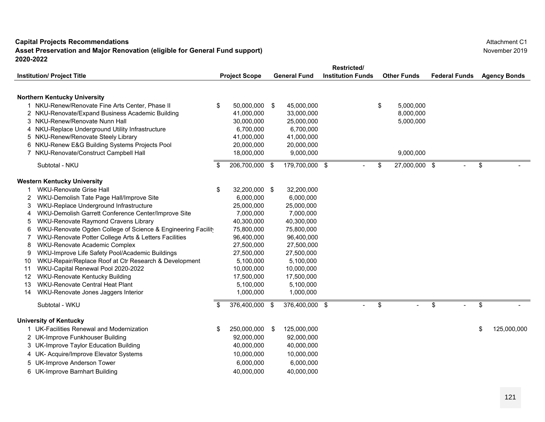**Asset Preservation and Major Renovation (eligible for General Fund support) 2020-2022**

|    |                                                                                        |     |                      |    |                     |                          | <b>Restricted/</b> |    |                    |                      |    |                     |  |
|----|----------------------------------------------------------------------------------------|-----|----------------------|----|---------------------|--------------------------|--------------------|----|--------------------|----------------------|----|---------------------|--|
|    | <b>Institution/ Project Title</b>                                                      |     | <b>Project Scope</b> |    | <b>General Fund</b> | <b>Institution Funds</b> |                    |    | <b>Other Funds</b> | <b>Federal Funds</b> |    | <b>Agency Bonds</b> |  |
|    | <b>Northern Kentucky University</b><br>1 NKU-Renew/Renovate Fine Arts Center, Phase II | \$  | 50,000,000           | \$ | 45,000,000          |                          |                    | \$ | 5,000,000          |                      |    |                     |  |
|    | 2 NKU-Renovate/Expand Business Academic Building                                       |     | 41,000,000           |    | 33,000,000          |                          |                    |    | 8,000,000          |                      |    |                     |  |
|    | 3 NKU-Renew/Renovate Nunn Hall                                                         |     | 30,000,000           |    | 25,000,000          |                          |                    |    | 5,000,000          |                      |    |                     |  |
|    | 4 NKU-Replace Underground Utility Infrastructure                                       |     | 6,700,000            |    | 6,700,000           |                          |                    |    |                    |                      |    |                     |  |
|    | 5 NKU-Renew/Renovate Steely Library                                                    |     | 41,000,000           |    | 41,000,000          |                          |                    |    |                    |                      |    |                     |  |
|    | 6 NKU-Renew E&G Building Systems Projects Pool                                         |     | 20,000,000           |    | 20,000,000          |                          |                    |    |                    |                      |    |                     |  |
|    | 7 NKU-Renovate/Construct Campbell Hall                                                 |     | 18,000,000           |    | 9,000,000           |                          |                    |    | 9,000,000          |                      |    |                     |  |
|    | Subtotal - NKU                                                                         | \$  | 206,700,000          | \$ | 179,700,000 \$      |                          |                    | \$ | 27,000,000 \$      |                      | \$ |                     |  |
|    | <b>Western Kentucky University</b>                                                     |     |                      |    |                     |                          |                    |    |                    |                      |    |                     |  |
|    | <b>WKU-Renovate Grise Hall</b>                                                         | \$  | 32,200,000 \$        |    | 32,200,000          |                          |                    |    |                    |                      |    |                     |  |
|    | WKU-Demolish Tate Page Hall/Improve Site                                               |     | 6,000,000            |    | 6,000,000           |                          |                    |    |                    |                      |    |                     |  |
|    | WKU-Replace Underground Infrastructure                                                 |     | 25,000,000           |    | 25,000,000          |                          |                    |    |                    |                      |    |                     |  |
|    | WKU-Demolish Garrett Conference Center/Improve Site                                    |     | 7,000,000            |    | 7,000,000           |                          |                    |    |                    |                      |    |                     |  |
| 5  | WKU-Renovate Raymond Cravens Library                                                   |     | 40,300,000           |    | 40,300,000          |                          |                    |    |                    |                      |    |                     |  |
| 6  | WKU-Renovate Ogden College of Science & Engineering Facility                           |     | 75,800,000           |    | 75,800,000          |                          |                    |    |                    |                      |    |                     |  |
|    | WKU-Renovate Potter College Arts & Letters Facilities                                  |     | 96,400,000           |    | 96,400,000          |                          |                    |    |                    |                      |    |                     |  |
| 8  | WKU-Renovate Academic Complex                                                          |     | 27,500,000           |    | 27,500,000          |                          |                    |    |                    |                      |    |                     |  |
|    | WKU-Improve Life Safety Pool/Academic Buildings                                        |     | 27,500,000           |    | 27,500,000          |                          |                    |    |                    |                      |    |                     |  |
| 10 | WKU-Repair/Replace Roof at Ctr Research & Development                                  |     | 5,100,000            |    | 5,100,000           |                          |                    |    |                    |                      |    |                     |  |
| 11 | WKU-Capital Renewal Pool 2020-2022                                                     |     | 10,000,000           |    | 10,000,000          |                          |                    |    |                    |                      |    |                     |  |
| 12 | WKU-Renovate Kentucky Building                                                         |     | 17,500,000           |    | 17,500,000          |                          |                    |    |                    |                      |    |                     |  |
| 13 | WKU-Renovate Central Heat Plant                                                        |     | 5,100,000            |    | 5,100,000           |                          |                    |    |                    |                      |    |                     |  |
| 14 | WKU-Renovate Jones Jaggers Interior                                                    |     | 1,000,000            |    | 1,000,000           |                          |                    |    |                    |                      |    |                     |  |
|    | Subtotal - WKU                                                                         | \$. | 376,400,000          | \$ | 376,400,000 \$      |                          |                    | \$ |                    | \$                   | \$ |                     |  |
|    | <b>University of Kentucky</b>                                                          |     |                      |    |                     |                          |                    |    |                    |                      |    |                     |  |
|    | 1 UK-Facilities Renewal and Modernization                                              | \$  | 250,000,000          | \$ | 125,000,000         |                          |                    |    |                    |                      | \$ | 125,000,000         |  |
|    | 2 UK-Improve Funkhouser Building                                                       |     | 92,000,000           |    | 92,000,000          |                          |                    |    |                    |                      |    |                     |  |
|    | 3 UK-Improve Taylor Education Building                                                 |     | 40,000,000           |    | 40,000,000          |                          |                    |    |                    |                      |    |                     |  |
|    | 4 UK- Acquire/Improve Elevator Systems                                                 |     | 10,000,000           |    | 10,000,000          |                          |                    |    |                    |                      |    |                     |  |
| 5  | <b>UK-Improve Anderson Tower</b>                                                       |     | 6,000,000            |    | 6,000,000           |                          |                    |    |                    |                      |    |                     |  |
|    | 6 UK-Improve Barnhart Building                                                         |     | 40,000,000           |    | 40,000,000          |                          |                    |    |                    |                      |    |                     |  |

Attachment C1November 2019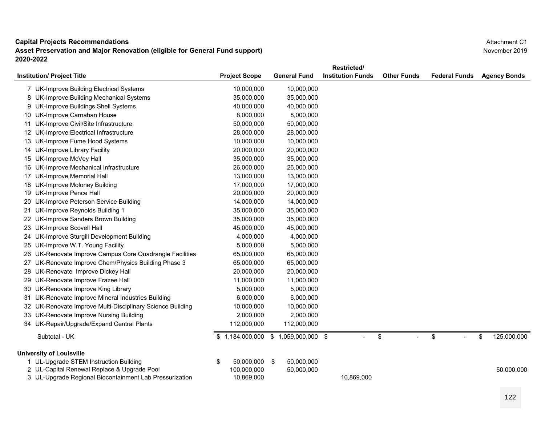**Asset Preservation and Major Renovation (eligible for General Fund support) 2020-2022**

|                                                            |                      |                        | Restricted/              |                    |                      |                     |  |
|------------------------------------------------------------|----------------------|------------------------|--------------------------|--------------------|----------------------|---------------------|--|
| <b>Institution/ Project Title</b>                          | <b>Project Scope</b> | <b>General Fund</b>    | <b>Institution Funds</b> | <b>Other Funds</b> | <b>Federal Funds</b> | <b>Agency Bonds</b> |  |
| 7 UK-Improve Building Electrical Systems                   | 10,000,000           | 10,000,000             |                          |                    |                      |                     |  |
| 8 UK-Improve Building Mechanical Systems                   | 35,000,000           | 35,000,000             |                          |                    |                      |                     |  |
| 9 UK-Improve Buildings Shell Systems                       | 40,000,000           | 40,000,000             |                          |                    |                      |                     |  |
| 10 UK-Improve Carnahan House                               | 8,000,000            | 8,000,000              |                          |                    |                      |                     |  |
| 11 UK-Improve Civil/Site Infrastructure                    | 50,000,000           | 50,000,000             |                          |                    |                      |                     |  |
| 12 UK-Improve Electrical Infrastructure                    | 28,000,000           | 28,000,000             |                          |                    |                      |                     |  |
| 13 UK-Improve Fume Hood Systems                            | 10,000,000           | 10,000,000             |                          |                    |                      |                     |  |
| 14 UK-Improve Library Facility                             | 20,000,000           | 20,000,000             |                          |                    |                      |                     |  |
| 15 UK-Improve McVey Hall                                   | 35,000,000           | 35,000,000             |                          |                    |                      |                     |  |
| 16 UK-Improve Mechanical Infrastructure                    | 26,000,000           | 26,000,000             |                          |                    |                      |                     |  |
| 17 UK-Improve Memorial Hall                                | 13,000,000           | 13,000,000             |                          |                    |                      |                     |  |
| 18 UK-Improve Moloney Building                             | 17,000,000           | 17,000,000             |                          |                    |                      |                     |  |
| 19 UK-Improve Pence Hall                                   | 20,000,000           | 20,000,000             |                          |                    |                      |                     |  |
| 20 UK-Improve Peterson Service Building                    | 14,000,000           | 14,000,000             |                          |                    |                      |                     |  |
| 21 UK-Improve Reynolds Building 1                          | 35,000,000           | 35,000,000             |                          |                    |                      |                     |  |
| 22 UK-Improve Sanders Brown Building                       | 35,000,000           | 35,000,000             |                          |                    |                      |                     |  |
| 23 UK-Improve Scovell Hall                                 | 45,000,000           | 45,000,000             |                          |                    |                      |                     |  |
| 24 UK-Improve Sturgill Development Building                | 4,000,000            | 4,000,000              |                          |                    |                      |                     |  |
| 25 UK-Improve W.T. Young Facility                          | 5,000,000            | 5,000,000              |                          |                    |                      |                     |  |
| 26 UK-Renovate Improve Campus Core Quadrangle Facilities   | 65,000,000           | 65,000,000             |                          |                    |                      |                     |  |
| 27 UK-Renovate Improve Chem/Physics Building Phase 3       | 65,000,000           | 65,000,000             |                          |                    |                      |                     |  |
| 28 UK-Renovate Improve Dickey Hall                         | 20,000,000           | 20,000,000             |                          |                    |                      |                     |  |
| 29 UK-Renovate Improve Frazee Hall                         | 11,000,000           | 11,000,000             |                          |                    |                      |                     |  |
| 30 UK-Renovate Improve King Library                        | 5,000,000            | 5,000,000              |                          |                    |                      |                     |  |
| 31 UK-Renovate Improve Mineral Industries Building         | 6,000,000            | 6,000,000              |                          |                    |                      |                     |  |
| 32 UK-Renovate Improve Multi-Disciplinary Science Building | 10,000,000           | 10,000,000             |                          |                    |                      |                     |  |
| 33 UK-Renovate Improve Nursing Building                    | 2,000,000            | 2,000,000              |                          |                    |                      |                     |  |
| 34 UK-Repair/Upgrade/Expand Central Plants                 | 112,000,000          | 112,000,000            |                          |                    |                      |                     |  |
| Subtotal - UK                                              | \$1,184,000,000      | \$<br>1,059,000,000 \$ |                          | \$                 | \$                   | \$<br>125,000,000   |  |
| <b>University of Louisville</b>                            |                      |                        |                          |                    |                      |                     |  |
| 1 UL-Upgrade STEM Instruction Building                     | \$<br>50,000,000 \$  | 50,000,000             |                          |                    |                      |                     |  |
| 2 UL-Capital Renewal Replace & Upgrade Pool                | 100,000,000          | 50,000,000             |                          |                    |                      | 50,000,000          |  |
| 3 UL-Upgrade Regional Biocontainment Lab Pressurization    | 10,869,000           |                        | 10.869.000               |                    |                      |                     |  |

Attachment C1November 2019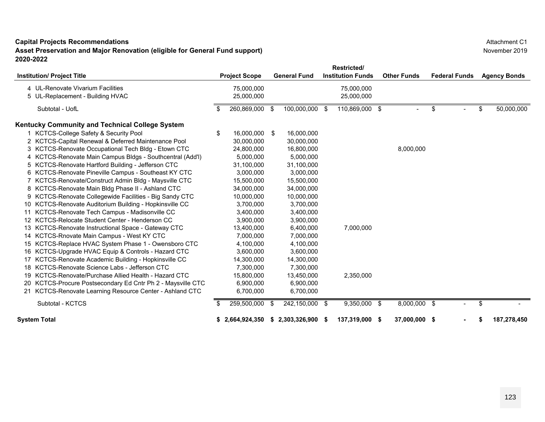**Asset Preservation and Major Renovation (eligible for General Fund support) 2020-2022**

|    |                                                             |    |                      |      |                     | <b>Restricted/</b>       |                    |                      |    |                     |
|----|-------------------------------------------------------------|----|----------------------|------|---------------------|--------------------------|--------------------|----------------------|----|---------------------|
|    | <b>Institution/ Project Title</b>                           |    | <b>Project Scope</b> |      | <b>General Fund</b> | <b>Institution Funds</b> | <b>Other Funds</b> | <b>Federal Funds</b> |    | <b>Agency Bonds</b> |
|    | 4 UL-Renovate Vivarium Facilities                           |    | 75,000,000           |      |                     | 75,000,000               |                    |                      |    |                     |
|    | 5 UL-Replacement - Building HVAC                            |    | 25,000,000           |      |                     | 25,000,000               |                    |                      |    |                     |
|    | Subtotal - UofL                                             |    | 260,869,000          | - \$ | 100,000,000 \$      | 110,869,000 \$           |                    | \$                   | \$ | 50,000,000          |
|    | Kentucky Community and Technical College System             |    |                      |      |                     |                          |                    |                      |    |                     |
|    | 1 KCTCS-College Safety & Security Pool                      | \$ | 16.000.000           | -\$  | 16,000,000          |                          |                    |                      |    |                     |
|    | 2 KCTCS-Capital Renewal & Deferred Maintenance Pool         |    | 30,000,000           |      | 30,000,000          |                          |                    |                      |    |                     |
|    | 3 KCTCS-Renovate Occupational Tech Bldg - Etown CTC         |    | 24,800,000           |      | 16,800,000          |                          | 8,000,000          |                      |    |                     |
|    | 4 KCTCS-Renovate Main Campus Bldgs - Southcentral (Add'l)   |    | 5,000,000            |      | 5,000,000           |                          |                    |                      |    |                     |
|    | 5 KCTCS-Renovate Hartford Building - Jefferson CTC          |    | 31,100,000           |      | 31,100,000          |                          |                    |                      |    |                     |
|    | 6 KCTCS-Renovate Pineville Campus - Southeast KY CTC        |    | 3,000,000            |      | 3,000,000           |                          |                    |                      |    |                     |
|    | KCTCS-Renovate/Construct Admin Bldg - Maysville CTC         |    | 15,500,000           |      | 15,500,000          |                          |                    |                      |    |                     |
|    | 8 KCTCS-Renovate Main Bldg Phase II - Ashland CTC           |    | 34,000,000           |      | 34,000,000          |                          |                    |                      |    |                     |
|    | 9 KCTCS-Renovate Collegewide Facilities - Big Sandy CTC     |    | 10,000,000           |      | 10,000,000          |                          |                    |                      |    |                     |
|    | 10 KCTCS-Renovate Auditorium Building - Hopkinsville CC     |    | 3,700,000            |      | 3,700,000           |                          |                    |                      |    |                     |
|    | 11 KCTCS-Renovate Tech Campus - Madisonville CC             |    | 3,400,000            |      | 3,400,000           |                          |                    |                      |    |                     |
|    | 12 KCTCS-Relocate Student Center - Henderson CC             |    | 3,900,000            |      | 3,900,000           |                          |                    |                      |    |                     |
|    | 13 KCTCS-Renovate Instructional Space - Gateway CTC         |    | 13,400,000           |      | 6,400,000           | 7,000,000                |                    |                      |    |                     |
|    | 14 KCTCS-Rnovate Main Campus - West KY CTC                  |    | 7,000,000            |      | 7,000,000           |                          |                    |                      |    |                     |
|    | 15 KCTCS-Replace HVAC System Phase 1 - Owensboro CTC        |    | 4,100,000            |      | 4,100,000           |                          |                    |                      |    |                     |
|    | 16 KCTCS-Upgrade HVAC Equip & Controls - Hazard CTC         |    | 3,600,000            |      | 3,600,000           |                          |                    |                      |    |                     |
| 17 | KCTCS-Renovate Academic Building - Hopkinsville CC          |    | 14,300,000           |      | 14,300,000          |                          |                    |                      |    |                     |
|    | 18 KCTCS-Renovate Science Labs - Jefferson CTC              |    | 7,300,000            |      | 7,300,000           |                          |                    |                      |    |                     |
|    | 19 KCTCS-Renovate/Purchase Allied Health - Hazard CTC       |    | 15,800,000           |      | 13,450,000          | 2,350,000                |                    |                      |    |                     |
|    | 20 KCTCS-Procure Postsecondary Ed Cntr Ph 2 - Maysville CTC |    | 6,900,000            |      | 6,900,000           |                          |                    |                      |    |                     |
|    | 21 KCTCS-Renovate Learning Resource Center - Ashland CTC    |    | 6,700,000            |      | 6,700,000           |                          |                    |                      |    |                     |
|    | Subtotal - KCTCS                                            |    | 259,500,000          | \$   | 242,150,000 \$      | 9,350,000 \$             | 8,000,000 \$       |                      | \$ |                     |
|    | <b>System Total</b>                                         | S. | 2,664,924,350        | s.   | 2,303,326,900 \$    | 137,319,000 \$           | 37,000,000 \$      |                      | S  | 187.278.450         |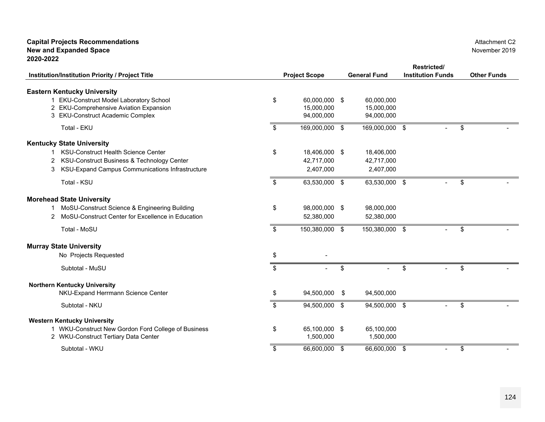## **Capital Projects Recommendations New and Expanded Space 2020-2022**

|                                                                    |    |                      |                     | Restricted/              |                    |
|--------------------------------------------------------------------|----|----------------------|---------------------|--------------------------|--------------------|
| Institution/Institution Priority / Project Title                   |    | <b>Project Scope</b> | <b>General Fund</b> | <b>Institution Funds</b> | <b>Other Funds</b> |
|                                                                    |    |                      |                     |                          |                    |
| <b>Eastern Kentucky University</b>                                 |    |                      |                     |                          |                    |
| 1 EKU-Construct Model Laboratory School                            | \$ | 60,000,000 \$        | 60,000,000          |                          |                    |
| 2 EKU-Comprehensive Aviation Expansion                             |    | 15,000,000           | 15,000,000          |                          |                    |
| 3 EKU-Construct Academic Complex                                   |    | 94,000,000           | 94,000,000          |                          |                    |
| Total - EKU                                                        | \$ | 169,000,000 \$       | 169,000,000 \$      |                          | \$                 |
| <b>Kentucky State University</b>                                   |    |                      |                     |                          |                    |
| <b>KSU-Construct Health Science Center</b>                         | \$ | 18,406,000 \$        | 18,406,000          |                          |                    |
| KSU-Construct Business & Technology Center                         |    | 42,717,000           | 42,717,000          |                          |                    |
| KSU-Expand Campus Communications Infrastructure<br>3               |    | 2,407,000            | 2,407,000           |                          |                    |
|                                                                    |    |                      |                     |                          |                    |
| Total - KSU                                                        | \$ | 63,530,000 \$        | 63,530,000 \$       |                          | \$                 |
| <b>Morehead State University</b>                                   |    |                      |                     |                          |                    |
| MoSU-Construct Science & Engineering Building<br>1.                | \$ | 98,000,000 \$        | 98,000,000          |                          |                    |
| MoSU-Construct Center for Excellence in Education<br>$\mathcal{P}$ |    | 52,380,000           | 52,380,000          |                          |                    |
|                                                                    |    |                      |                     |                          |                    |
| Total - MoSU                                                       | \$ | 150,380,000 \$       | 150,380,000         | $\sqrt[6]{3}$            | \$                 |
| <b>Murray State University</b>                                     |    |                      |                     |                          |                    |
| No Projects Requested                                              | \$ |                      |                     |                          |                    |
| Subtotal - MuSU                                                    | \$ |                      | \$                  | \$                       | \$                 |
| <b>Northern Kentucky University</b>                                |    |                      |                     |                          |                    |
| NKU-Expand Herrmann Science Center                                 | S  | 94,500,000 \$        | 94,500,000          |                          |                    |
| Subtotal - NKU                                                     | \$ | 94,500,000 \$        | 94,500,000          | $\sqrt[6]{3}$<br>$\sim$  | \$                 |
| <b>Western Kentucky University</b>                                 |    |                      |                     |                          |                    |
| 1 WKU-Construct New Gordon Ford College of Business                | \$ | 65,100,000 \$        | 65,100,000          |                          |                    |
| 2 WKU-Construct Tertiary Data Center                               |    | 1,500,000            | 1,500,000           |                          |                    |
| Subtotal - WKU                                                     | \$ | 66,600,000 \$        | 66,600,000          | \$                       | \$                 |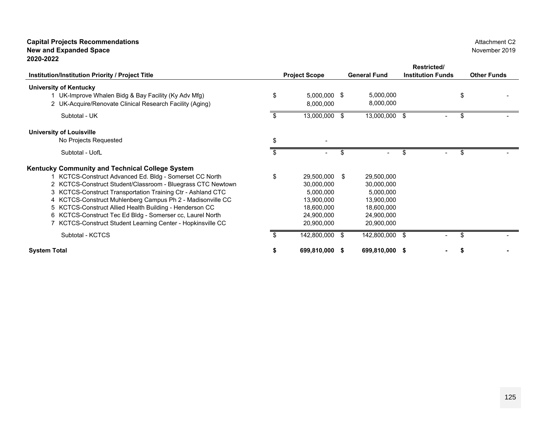## **Capital Projects Recommendations New and Expanded Space 2020-2022**

|                                                               |                      |                     | Restricted/              |                    |
|---------------------------------------------------------------|----------------------|---------------------|--------------------------|--------------------|
| Institution/Institution Priority / Project Title              | <b>Project Scope</b> | <b>General Fund</b> | <b>Institution Funds</b> | <b>Other Funds</b> |
| <b>University of Kentucky</b>                                 |                      |                     |                          |                    |
| \$<br>1 UK-Improve Whalen Bidg & Bay Facility (Ky Adv Mfg)    | 5,000,000 \$         | 5,000,000           |                          | \$                 |
| 2 UK-Acquire/Renovate Clinical Research Facility (Aging)      | 8,000,000            | 8,000,000           |                          |                    |
| Subtotal - UK                                                 | 13,000,000 \$        | $13,000,000$ \$     |                          | \$                 |
| <b>University of Louisville</b>                               |                      |                     |                          |                    |
| \$<br>No Projects Requested                                   |                      |                     |                          |                    |
| Subtotal - UofL<br>\$.                                        |                      | \$                  | \$                       | \$                 |
| <b>Kentucky Community and Technical College System</b>        |                      |                     |                          |                    |
| 1 KCTCS-Construct Advanced Ed. Bldg - Somerset CC North<br>\$ | 29,500,000 \$        | 29,500,000          |                          |                    |
| 2 KCTCS-Construct Student/Classroom - Bluegrass CTC Newtown   | 30,000,000           | 30,000,000          |                          |                    |
| 3 KCTCS-Construct Transportation Training Ctr - Ashland CTC   | 5,000,000            | 5,000,000           |                          |                    |
| 4 KCTCS-Construct Muhlenberg Campus Ph 2 - Madisonville CC    | 13,900,000           | 13,900,000          |                          |                    |
| 5 KCTCS-Construct Allied Health Building - Henderson CC       | 18,600,000           | 18,600,000          |                          |                    |
| 6 KCTCS-Construct Tec Ed Bldg - Somerser cc, Laurel North     | 24,900,000           | 24,900,000          |                          |                    |
| 7 KCTCS-Construct Student Learning Center - Hopkinsville CC   | 20,900,000           | 20,900,000          |                          |                    |
| Subtotal - KCTCS<br>S.                                        | 142,800,000 \$       | 142,800,000 \$      | $\overline{\phantom{0}}$ | \$                 |
| <b>System Total</b><br>S                                      | 699,810,000 \$       | 699,810,000 \$      |                          |                    |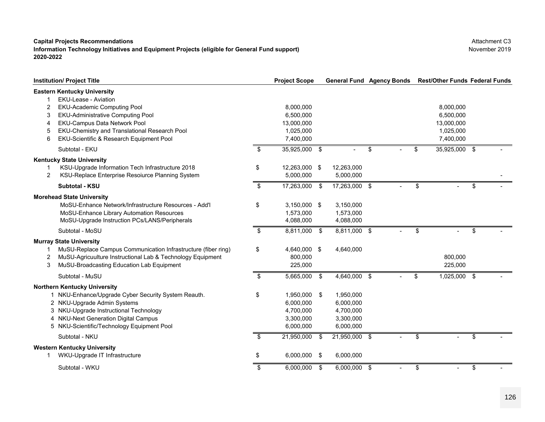## **Information Technology Initiatives and Equipment Projects (eligible for General Fund support) 2020-2022**

**Institution/ Project Title Project Scope Agency Bonds General Fund Rest/Other Funds Federal Funds Eastern Kentucky University** 1 EKU-Lease - Aviation 2 EKU-Academic Computing Pool 8,000,000 8,000,000 3 EKU-Administrative Computing Pool 6,500,000 6,500,000 4 EKU-Campus Data Network Pool 13,000,000 13,000,000 5 EKU-Chemistry and Translational Research Pool 1,025,000 1,025,000 6 EKU-Scientific & Research Equipment Pool 7,400,000 7,400,000 Subtotal - EKU \$ 35,925,000 \$ - \$ - \$ 35,925,000 \$ - **Kentucky State University** 1 KSU-Upgrade Information Tech Infrastructure 2018 \$ 12,263,000 \$ 12,263,000 2 KSU-Replace Enterprise Resoiurce Planning System 5,000,000 5,000,000 5,000,000 **Subtotal - KSUU** the set of the set of the set of the set of the set of the set of the set of the set of the set of the set of the set of the set of the set of the set of the set of the set of the set of the set of the set of the set **Morehead State University**  MoSU-Enhance Network/Infrastructure Resources - Add'l \$ 3,150,000 \$ 3,150,000 MoSU-Enhance Library Automation Resources 1,573,000 1,573,000 1,573,000 MoSU-Upgrade Instruction PCs/LANS/Peripherals  $4,088,000$   $4,088,000$ Subtotal - MoSU \$ 8,811,000 \$ 8,811,000 \$ - \$ - \$ - **Murray State University**  1 MuSU-Replace Campus Communication Infrastructure (fiber ring) \$ 4,640,000 \$ 4,640,000 2 MuSU-Agricuulture Instructional Lab & Technology Equipment 800,000 800,000 3 MuSU-Broadcasting Education Lab Equipment 225,000 225,000 Subtotal - MuSU \$ 5,665,000 \$ 4,640,000 \$ - \$ 1,025,000 \$ - **Northern Kentucky University**  1 NKU-Enhance/Upgrade Cyber Security System Reauth. 1  $\frac{1}{3}$  1,950,000 \$ 1,950,000 NKU-Upgrade Admin Systems 2 6,000,000 6,000,000 3 NKU-Upgrade Instructional Technology  $4,700,000$   $4,700,000$   $4,700,000$ 4 NKU-Next Generation Digital Campus 4 3,300,000 3,300,000 3,300,000 5 NKU-Scientific/Technology Equipment Pool 6,000,000 6,000,000 6,000,000 Subtotal - NKUU \$ 21,950,000 \$ 21,950,000 \$ - \$ - \$ -**Western Kentucky University**  1 WKU-Upgrade IT Infrastructure \$ 6,000,000 \$ 6,000,000 Subtotal - WKU\$ 6,000,000 \$ 6,000,000 \$ - \$ - \$ -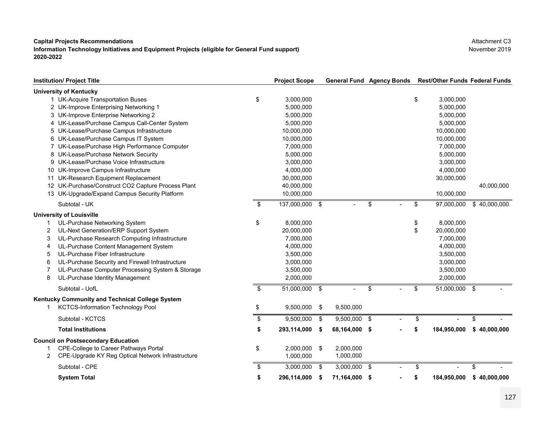**Information Technology Initiatives and Equipment Projects (eligible for General Fund support) 2020-2022**

**Institution/ Project Title Project Scope General Fund Agency Bonds Rest/Other Funds Federal Funds University of Kentucky**  1 UK-Acquire Transportation Buses 1 1 1 20 3,000 000 1 20 3,000,000 1 3,000,000 1 3,000,000 1 3,000,000 1 3,000,000 1 3,000,000 1 3,000,000 1 3,000,000 1 3 4 3,000,000 1 3 4 3,000,000 1 3 4 3,000,000 1 3 4 3,000,000 1 3 4 UK-Improve Enterprising Networking 1 2 5,000,000 5,000,000 UK-Improve Enterprise Networking 2 3 5,000,000 5,000,000 UK-Lease/Purchase Campus Call-Center System 4 5,000,000 5,000,000 UK-Lease/Purchase Campus Infrastructure 5 10,000,000 10,000,000 UK-Lease/Purchase Campus IT System 6 10,000,000 10,000,000 UK-Lease/Purchase High Performance Computer 7 7,000,000 7,000,000 UK-Lease/Purchase Network Security 8 5,000,000 5,000,000 UK-Lease/Purchase Voice Infrastructure 9 3,000,000 3,000,000 UK-Improve Campus Infrastructure 10 4,000,000 4,000,000 UK-Research Equipment Replacement 11 30,000,000 30,000,000 UK-Purchase/Construct CO2 Capture Process Plant 12 40,000,000 40,000,000 UK-Upgrade/Expand Campus Security Platform 13 10,000,000 10,000,000 Subtotal - UK \$ 137,000,000 \$ - \$ - \$ 97,000,000 \$ 40,000,000 **University of Louisville**  1 UL-Purchase Networking System \$ 8,000,000 \$ 8,000,000 2UL-Next Generation/ERP Support System  $20,000,000$  20,000,000 \$ 20,000,000 \$ 20,000,000 3UL-Purchase Research Computing Infrastructure  $7,000,000$  7,000,000 7,000,000 7,000,000 4UL-Purchase Content Management System  $4,000,000$   $4,000,000$   $4,000,000$   $4,000,000$ 5 UL-Purchase Fiber Infrastructure 3,500,000 3,500,000 6 UL-Purchase Security and Firewall Infrastructure 3,000,000 3,000,000 7 UL-Purchase Computer Processing System & Storage 3,500,000 3,500,000 8 UL-Purchase Identity Management 2,000,000 2,000,000 Subtotal - UofL \$ 51,000,000 \$ - \$ - \$ 51,000,000 \$ - **Kentucky Community and Technical College System** 1 KCTCS-Information Technology Pool \$ 9,500,000 \$ 9,500,000 Subtotal - KCTCS ${\sf S}$  , and the set of the set of  ${\sf S}$  ,  ${\sf S}$  ,  ${\sf S}$  ,  ${\sf S}$  ,  ${\sf S}$  ,  ${\sf S}$  ,  ${\sf S}$  ,  ${\sf S}$  ,  ${\sf S}$  ,  ${\sf S}$  ,  ${\sf S}$  ,  ${\sf S}$  ,  ${\sf S}$  ,  ${\sf S}$  ,  ${\sf S}$  ,  ${\sf S}$  ,  ${\sf S}$  ,  ${\sf S}$  ,  ${\sf S}$  ,  ${\sf S}$  ,  ${\sf S}$ **Total Institutions \$ 293,114,000 \$ 68,164,000 \$ - \$ 184,950,000 \$ 40,000,000 Council on Postsecondary Education**  1 CPE-College to Career Pathways Portal \$ 2,000,000 \$ 2,000,000 2 CPE-Upgrade KY Reg Optical Network Infrastructure 1,000,000 1,000,000 Subtotal - CPE \$ 3,000,000 \$ 3,000,000 \$ - \$ - \$ - **System Total \$ 296,114,000 \$ 71,164,000 \$ - \$ 184,950,000 \$ 40,000,000**

Attachment C3November 2019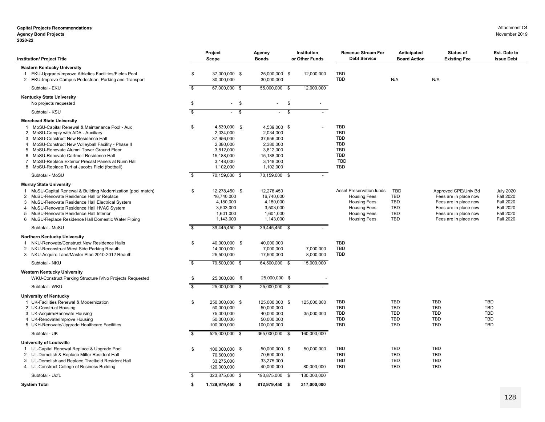### **Capital Projects Recommendations Agency Bond Projects**

| <b>Institution/ Project Title</b>                                                                                                                                                                                                                                                                                                                                                                                                               |                                   | Project<br>Scope                                                                                          | Agency<br><b>Bonds</b>                                                                                    | Institution<br>or Other Funds            | <b>Revenue Stream For</b><br><b>Debt Service</b>                                                                                                   | Anticipated<br><b>Board Action</b>                                               | <b>Status of</b><br><b>Existing Fee</b>                                                                                                           | Est. Date to<br><b>Issue Debt</b>                                                                                    |
|-------------------------------------------------------------------------------------------------------------------------------------------------------------------------------------------------------------------------------------------------------------------------------------------------------------------------------------------------------------------------------------------------------------------------------------------------|-----------------------------------|-----------------------------------------------------------------------------------------------------------|-----------------------------------------------------------------------------------------------------------|------------------------------------------|----------------------------------------------------------------------------------------------------------------------------------------------------|----------------------------------------------------------------------------------|---------------------------------------------------------------------------------------------------------------------------------------------------|----------------------------------------------------------------------------------------------------------------------|
| <b>Eastern Kentucky University</b><br>EKU-Upgrade/Improve Athletics Facilities/Fields Pool<br>2 EKU-Improve Campus Pedestrian, Parking and Transport<br>Subtotal - EKU                                                                                                                                                                                                                                                                          | \$<br>$\boldsymbol{\mathfrak{s}}$ | 37,000,000 \$<br>30,000,000<br>67,000,000 \$                                                              | 25,000,000 \$<br>30,000,000<br>55,000,000 \$                                                              | 12,000,000<br>12,000,000                 | <b>TBD</b><br><b>TBD</b>                                                                                                                           | N/A                                                                              | N/A                                                                                                                                               |                                                                                                                      |
|                                                                                                                                                                                                                                                                                                                                                                                                                                                 |                                   |                                                                                                           |                                                                                                           |                                          |                                                                                                                                                    |                                                                                  |                                                                                                                                                   |                                                                                                                      |
| <b>Kentucky State University</b><br>No projects requested                                                                                                                                                                                                                                                                                                                                                                                       | \$                                | \$<br>$\sigma_{\rm{max}}$                                                                                 | $\sim$                                                                                                    | \$                                       |                                                                                                                                                    |                                                                                  |                                                                                                                                                   |                                                                                                                      |
| Subtotal - KSU                                                                                                                                                                                                                                                                                                                                                                                                                                  | $\overline{\mathbb{S}}$           | S                                                                                                         |                                                                                                           | -S                                       |                                                                                                                                                    |                                                                                  |                                                                                                                                                   |                                                                                                                      |
| <b>Morehead State University</b><br>MoSU-Capital Renewal & Maintenance Pool - Aux<br>$\mathbf{1}$<br>MoSU-Comply with ADA - Auxiliary<br>2<br>3 MoSU-Construct New Residence Hall<br>MoSU-Construct New Volleyball Facility - Phase II<br>4<br>5 MoSU-Renovate Alumni Tower Ground Floor<br>6 MoSU-Renovate Cartmell Residence Hall<br>MoSU-Replace Exterior Precast Panels at Nunn Hall<br>7<br>8 MoSU-Replace Turf at Jacobs Field (football) | \$                                | 4,539,000 \$<br>2,034,000<br>37,956,000<br>2,380,000<br>3,812,000<br>15,188,000<br>3,148,000<br>1,102,000 | 4,539,000 \$<br>2,034,000<br>37,956,000<br>2,380,000<br>3,812,000<br>15,188,000<br>3,148,000<br>1,102,000 |                                          | <b>TBD</b><br><b>TBD</b><br><b>TBD</b><br><b>TBD</b><br><b>TBD</b><br><b>TBD</b><br><b>TBD</b><br><b>TBD</b>                                       |                                                                                  |                                                                                                                                                   |                                                                                                                      |
| Subtotal - MoSU                                                                                                                                                                                                                                                                                                                                                                                                                                 | \$                                | 70,159,000 \$                                                                                             | 70,159,000 \$                                                                                             |                                          |                                                                                                                                                    |                                                                                  |                                                                                                                                                   |                                                                                                                      |
| <b>Murray State University</b><br>1 MuSU-Capital Renewal & Building Modernization (pool match)<br>2 MuSU-Renovate Residence Hall or Replace<br>3 MuSU-Renovate Residence Hall Electrical System<br>4 MuSU-Renovate Residence Hall HVAC System<br>5 MuSU-Renovate Residence Hall Interior<br>6 MuSU-Replace Residence Hall Domestic Water Piping                                                                                                 | \$                                | 12,278,450 \$<br>16,740,000<br>4,180,000<br>3,503,000<br>1,601,000<br>1,143,000                           | 12,278,450<br>16,740,000<br>4,180,000<br>3,503,000<br>1,601,000<br>1,143,000                              |                                          | <b>Asset Preservation funds</b><br><b>Housing Fees</b><br><b>Housing Fees</b><br><b>Housing Fees</b><br><b>Housing Fees</b><br><b>Housing Fees</b> | <b>TBD</b><br><b>TBD</b><br><b>TBD</b><br><b>TBD</b><br><b>TBD</b><br><b>TBD</b> | Approved CPE/Univ Bd<br>Fees are in place now<br>Fees are in place now<br>Fees are in place now<br>Fees are in place now<br>Fees are in place now | <b>July 2020</b><br><b>Fall 2020</b><br><b>Fall 2020</b><br><b>Fall 2020</b><br><b>Fall 2020</b><br><b>Fall 2020</b> |
| Subtotal - MuSU                                                                                                                                                                                                                                                                                                                                                                                                                                 | \$                                | 39,445,450 \$                                                                                             | 39,445,450 \$                                                                                             |                                          |                                                                                                                                                    |                                                                                  |                                                                                                                                                   |                                                                                                                      |
| Northern Kentucky University<br>NKU-Renovate/Construct New Residence Halls<br>-1<br>2 NKU-Reconstruct West Side Parking Reauth<br>3 NKU-Acquire Land/Master Plan 2010-2012 Reauth.                                                                                                                                                                                                                                                              | \$<br>$\overline{\mathbf{s}}$     | 40,000,000 \$<br>14,000,000<br>25,500,000                                                                 | 40,000,000<br>7,000,000<br>17,500,000                                                                     | 7,000,000<br>8,000,000<br>15,000,000     | <b>TBD</b><br><b>TBD</b><br><b>TBD</b>                                                                                                             |                                                                                  |                                                                                                                                                   |                                                                                                                      |
| Subtotal - NKU                                                                                                                                                                                                                                                                                                                                                                                                                                  |                                   | 79,500,000 \$                                                                                             | 64,500,000 \$                                                                                             |                                          |                                                                                                                                                    |                                                                                  |                                                                                                                                                   |                                                                                                                      |
| <b>Western Kentucky University</b><br>WKU-Construct Parking Structure IVNo Projects Requested<br>Subtotal - WKU                                                                                                                                                                                                                                                                                                                                 | \$<br>$\overline{\mathbb{S}}$     | 25,000,000 \$<br>25,000,000 \$                                                                            | 25,000,000 \$<br>25,000,000 \$                                                                            |                                          |                                                                                                                                                    |                                                                                  |                                                                                                                                                   |                                                                                                                      |
| <b>University of Kentucky</b><br>1 UK-Facilities Renewal & Modernization<br>2 UK-Construct Housing<br>3 UK-Acquire/Renovate Housing<br>4 UK-Renovate/Improve Housing<br>5 UKH-Renovate/Upgrade Healthcare Facilities<br>Subtotal - UK                                                                                                                                                                                                           | \$<br>\$                          | 250,000,000 \$<br>50,000,000<br>75,000,000<br>50,000,000<br>100,000,000<br>525,000,000 \$                 | 125,000,000 \$<br>50,000,000<br>40,000,000<br>50,000,000<br>100,000,000<br>365,000,000 \$                 | 125,000,000<br>35,000,000<br>160,000,000 | <b>TBD</b><br><b>TBD</b><br><b>TBD</b><br><b>TBD</b><br><b>TBD</b>                                                                                 | <b>TBD</b><br><b>TBD</b><br><b>TBD</b><br><b>TBD</b><br><b>TBD</b>               | <b>TBD</b><br><b>TBD</b><br><b>TBD</b><br><b>TBD</b><br><b>TBD</b>                                                                                | TBD<br><b>TBD</b><br><b>TBD</b><br><b>TBD</b><br><b>TBD</b>                                                          |
| <b>University of Louisville</b>                                                                                                                                                                                                                                                                                                                                                                                                                 |                                   |                                                                                                           |                                                                                                           |                                          |                                                                                                                                                    |                                                                                  |                                                                                                                                                   |                                                                                                                      |
| 1 UL-Capital Renewal Replace & Upgrade Pool<br>2 UL-Demolish & Replace Miller Resident Hall<br>3 UL-Demolish and Replace Threlkeld Resident Hall<br>4 UL-Construct College of Business Building                                                                                                                                                                                                                                                 | \$                                | 100,000,000 \$<br>70,600,000<br>33,275,000<br>120,000,000                                                 | 50,000,000 \$<br>70,600,000<br>33,275,000<br>40,000,000                                                   | 50,000,000<br>80,000,000                 | <b>TBD</b><br><b>TBD</b><br><b>TBD</b><br><b>TBD</b>                                                                                               | TBD<br><b>TBD</b><br><b>TBD</b><br><b>TBD</b>                                    | TBD<br><b>TBD</b><br><b>TBD</b><br><b>TBD</b>                                                                                                     |                                                                                                                      |
| Subtotal - UofL                                                                                                                                                                                                                                                                                                                                                                                                                                 | \$                                | 323,875,000 \$                                                                                            | 193,875,000 \$                                                                                            | 130,000,000                              |                                                                                                                                                    |                                                                                  |                                                                                                                                                   |                                                                                                                      |
| <b>System Total</b>                                                                                                                                                                                                                                                                                                                                                                                                                             | \$                                | 1,129,979,450 \$                                                                                          | 812,979,450 \$                                                                                            | 317.000.000                              |                                                                                                                                                    |                                                                                  |                                                                                                                                                   |                                                                                                                      |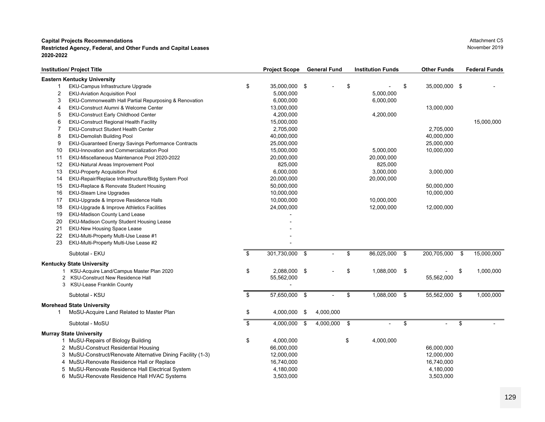### **Restricted Agency, Federal, and Other Funds and Capital Leases** November 2019 **2020-2022**

|    | <b>Institution/ Project Title</b>                          | <b>Project Scope</b> | <b>General Fund</b> | <b>Institution Funds</b> | <b>Other Funds</b>  | <b>Federal Funds</b> |
|----|------------------------------------------------------------|----------------------|---------------------|--------------------------|---------------------|----------------------|
|    | <b>Eastern Kentucky University</b>                         |                      |                     |                          |                     |                      |
|    | EKU-Campus Infrastructure Upgrade                          | \$<br>35,000,000 \$  |                     | \$                       | \$<br>35,000,000 \$ |                      |
| 2  | <b>EKU-Aviation Acquisition Pool</b>                       | 5,000,000            |                     | 5,000,000                |                     |                      |
| 3  | EKU-Commonwealth Hall Partial Repurposing & Renovation     | 6,000,000            |                     | 6,000,000                |                     |                      |
| 4  | EKU-Construct Alumni & Welcome Center                      | 13,000,000           |                     |                          | 13,000,000          |                      |
| 5  | EKU-Construct Early Childhood Center                       | 4,200,000            |                     | 4,200,000                |                     |                      |
| 6  | EKU-Construct Regional Health Facility                     | 15,000,000           |                     |                          |                     | 15,000,000           |
| 7  | <b>EKU-Construct Student Health Center</b>                 | 2,705,000            |                     |                          | 2,705,000           |                      |
| 8  | <b>EKU-Demolish Building Pool</b>                          | 40,000,000           |                     |                          | 40,000,000          |                      |
| 9  | <b>EKU-Guaranteed Energy Savings Performance Contracts</b> | 25,000,000           |                     |                          | 25,000,000          |                      |
| 10 | <b>EKU-Innovation and Commercialization Pool</b>           | 15,000,000           |                     | 5,000,000                | 10,000,000          |                      |
| 11 | EKU-Miscellaneous Maintenance Pool 2020-2022               | 20,000,000           |                     | 20,000,000               |                     |                      |
| 12 | EKU-Natural Areas Improvement Pool                         | 825,000              |                     | 825,000                  |                     |                      |
| 13 | <b>EKU-Property Acquisition Pool</b>                       | 6,000,000            |                     | 3,000,000                | 3,000,000           |                      |
| 14 | EKU-Repair/Replace Infrastructure/Bldg System Pool         | 20,000,000           |                     | 20,000,000               |                     |                      |
| 15 | EKU-Replace & Renovate Student Housing                     | 50,000,000           |                     |                          | 50,000,000          |                      |
| 16 | <b>EKU-Steam Line Upgrades</b>                             | 10,000,000           |                     |                          | 10,000,000          |                      |
| 17 | EKU-Upgrade & Improve Residence Halls                      | 10,000,000           |                     | 10,000,000               |                     |                      |
| 18 | EKU-Upgrade & Improve Athletics Facilities                 | 24,000,000           |                     | 12,000,000               | 12,000,000          |                      |
| 19 | <b>EKU-Madison County Land Lease</b>                       |                      |                     |                          |                     |                      |
| 20 | EKU-Madison County Student Housing Lease                   |                      |                     |                          |                     |                      |
| 21 | <b>EKU-New Housing Space Lease</b>                         |                      |                     |                          |                     |                      |
| 22 | EKU-Multi-Property Multi-Use Lease #1                      |                      |                     |                          |                     |                      |
| 23 | EKU-Multi-Property Multi-Use Lease #2                      |                      |                     |                          |                     |                      |
|    | Subtotal - EKU                                             | \$<br>301,730,000 \$ | $\sim$              | \$<br>86,025,000 \$      | 200,705,000         | \$<br>15,000,000     |
|    | <b>Kentucky State University</b>                           |                      |                     |                          |                     |                      |
|    | KSU-Acquire Land/Campus Master Plan 2020                   | \$<br>2,088,000 \$   |                     | \$<br>1,088,000 \$       |                     | \$<br>1,000,000      |
| 2  | <b>KSU-Construct New Residence Hall</b>                    | 55,562,000           |                     |                          | 55,562,000          |                      |
| 3  | <b>KSU-Lease Franklin County</b>                           |                      |                     |                          |                     |                      |
|    | Subtotal - KSU                                             | \$<br>57,650,000 \$  |                     | \$<br>1,088,000          | \$<br>55,562,000 \$ | 1,000,000            |
|    | <b>Morehead State University</b>                           |                      |                     |                          |                     |                      |
|    | MoSU-Acquire Land Related to Master Plan                   | \$<br>4,000,000 \$   | 4,000,000           |                          |                     |                      |
|    | Subtotal - MoSU                                            | \$<br>4,000,000 \$   | 4,000,000           | \$                       | \$                  | \$                   |
|    | <b>Murray State University</b>                             |                      |                     |                          |                     |                      |
|    | 1 MuSU-Repairs of Biology Building                         | \$<br>4,000,000      |                     | \$<br>4,000,000          |                     |                      |

2 MuSU-Construct Residential Housing 66,000,000 66,000,000 3 MuSU-Construct/Renovate Alternative Dining Facility (1-3) 12,000,000 12,000,000 12,000,000 12,000,000 12,000,000 4 MuSU-Renovate Residence Hall or Replace 16,740,000 16,740,000 16,740,000 16,740,000 16,740,000 5 MuSU-Renovate Residence Hall Electrical System 4,180,000 4,180,000 6 MuSU-Renovate Residence Hall HVAC Systems 3,503,000 3,503,000

# Attachment C5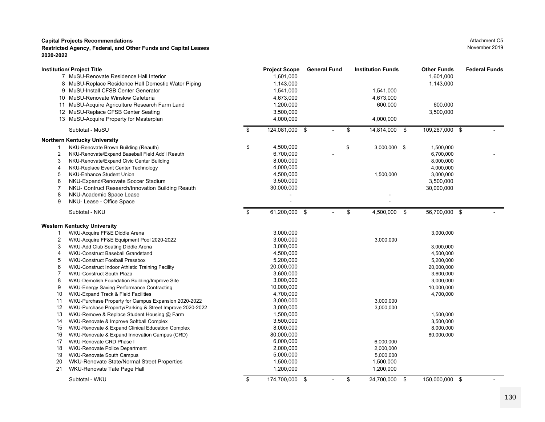|    | <b>Institution/ Project Title</b>                        | <b>Project Scope</b> | <b>General Fund</b> | <b>Institution Funds</b> |      | <b>Other Funds</b> | <b>Federal Funds</b> |
|----|----------------------------------------------------------|----------------------|---------------------|--------------------------|------|--------------------|----------------------|
|    | 7 MuSU-Renovate Residence Hall Interior                  | 1,601,000            |                     |                          |      | 1,601,000          |                      |
|    | 8 MuSU-Replace Residence Hall Domestic Water Piping      | 1,143,000            |                     |                          |      | 1,143,000          |                      |
|    | 9 MuSU-Install CFSB Center Generator                     | 1,541,000            |                     | 1,541,000                |      |                    |                      |
|    | 10 MuSU-Renovate Winslow Cafeteria                       | 4,673,000            |                     | 4,673,000                |      |                    |                      |
|    | 11 MuSU-Acquire Agriculture Research Farm Land           | 1,200,000            |                     | 600,000                  |      | 600,000            |                      |
|    | 12 MuSU-Replace CFSB Center Seating                      | 3,500,000            |                     |                          |      | 3,500,000          |                      |
|    | 13 MuSU-Acquire Property for Masterplan                  | 4,000,000            |                     | 4,000,000                |      |                    |                      |
|    | Subtotal - MuSU                                          | \$<br>124,081,000 \$ |                     | \$<br>14,814,000 \$      |      | 109,267,000 \$     |                      |
|    | Northern Kentucky University                             |                      |                     |                          |      |                    |                      |
|    | NKU-Renovate Brown Building (Reauth)                     | \$<br>4,500,000      |                     | \$<br>$3,000,000$ \$     |      | 1,500,000          |                      |
| 2  | NKU-Renovate/Expand Baseball Field Add'l Reauth          | 6,700,000            |                     |                          |      | 6,700,000          |                      |
| 3  | NKU-Renovate/Expand Civic Center Building                | 8,000,000            |                     |                          |      | 8,000,000          |                      |
| 4  | NKU-Replace Event Center Technology                      | 4,000,000            |                     |                          |      | 4,000,000          |                      |
| 5  | NKU-Enhance Student Union                                | 4,500,000            |                     | 1,500,000                |      | 3,000,000          |                      |
| 6  | NKU-Expand/Renovate Soccer Stadium                       | 3,500,000            |                     |                          |      | 3,500,000          |                      |
| 7  | NKU- Contruct Research/Innovation Building Reauth        | 30,000,000           |                     |                          |      | 30,000,000         |                      |
| 8  | NKU-Academic Space Lease                                 |                      |                     |                          |      |                    |                      |
| 9  | NKU- Lease - Office Space                                |                      |                     |                          |      |                    |                      |
|    | Subtotal - NKU                                           | \$<br>61,200,000     | \$                  | \$<br>4,500,000          | \$   | $56,700,000$ \$    |                      |
|    | <b>Western Kentucky University</b>                       |                      |                     |                          |      |                    |                      |
| 1  | WKU-Acquire FF&E Diddle Arena                            | 3,000,000            |                     |                          |      | 3,000,000          |                      |
| 2  | WKU-Acquire FF&E Equipment Pool 2020-2022                | 3,000,000            |                     | 3,000,000                |      |                    |                      |
| 3  | WKU-Add Club Seating Diddle Arena                        | 3,000,000            |                     |                          |      | 3,000,000          |                      |
| 4  | WKU-Construct Baseball Grandstand                        | 4,500,000            |                     |                          |      | 4,500,000          |                      |
| 5  | <b>WKU-Construct Football Pressbox</b>                   | 5,200,000            |                     |                          |      | 5,200,000          |                      |
| 6  | WKU-Construct Indoor Athletic Training Facility          | 20,000,000           |                     |                          |      | 20,000,000         |                      |
| 7  | <b>WKU-Construct South Plaza</b>                         | 3,600,000            |                     |                          |      | 3,600,000          |                      |
| 8  | WKU-Demolish Foundation Building/Improve Site            | 3,000,000            |                     |                          |      | 3,000,000          |                      |
| 9  | WKU-Energy Saving Performance Contracting                | 10,000,000           |                     |                          |      | 10,000,000         |                      |
| 10 | WKU-Expand Track & Field Facilities                      | 4,700,000            |                     |                          |      | 4,700,000          |                      |
| 11 | WKU-Purchase Property for Campus Expansion 2020-2022     | 3,000,000            |                     | 3,000,000                |      |                    |                      |
| 12 | WKU-Purchase Property/Parking & Street Improve 2020-2022 | 3,000,000            |                     | 3,000,000                |      |                    |                      |
| 13 | WKU-Remove & Replace Student Housing @ Farm              | 1,500,000            |                     |                          |      | 1,500,000          |                      |
| 14 | WKU-Renovate & Improve Softball Complex                  | 3,500,000            |                     |                          |      | 3,500,000          |                      |
| 15 | WKU-Renovate & Expand Clinical Education Complex         | 8,000,000            |                     |                          |      | 8,000,000          |                      |
| 16 | WKU-Renovate & Expand Innovation Campus (CRD)            | 80,000,000           |                     |                          |      | 80,000,000         |                      |
| 17 | WKU-Renovate CRD Phase I                                 | 6,000,000            |                     | 6,000,000                |      |                    |                      |
| 18 | WKU-Renovate Police Department                           | 2,000,000            |                     | 2,000,000                |      |                    |                      |
| 19 | <b>WKU-Renovate South Campus</b>                         | 5,000,000            |                     | 5,000,000                |      |                    |                      |
| 20 | WKU-Renovate State/Normal Street Properties              | 1,500,000            |                     | 1,500,000                |      |                    |                      |
| 21 | WKU-Renovate Tate Page Hall                              | 1,200,000            |                     | 1,200,000                |      |                    |                      |
|    | Subtotal - WKU                                           | \$<br>174,700,000 \$ |                     | \$<br>24,700,000         | - \$ | 150,000,000 \$     |                      |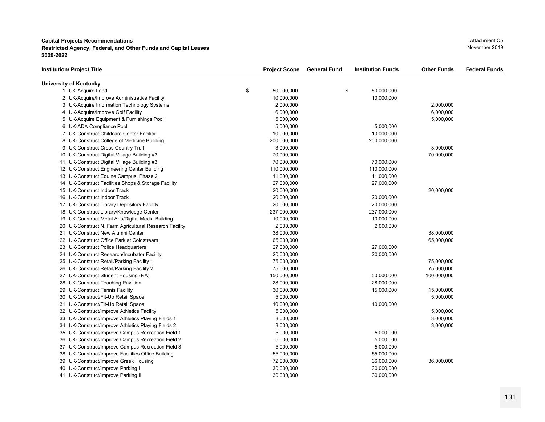**Capital Projects Recommendations Restricted Agency, Federal, and Other Funds and Capital Leases** November 2019 **2020-2022**

| Institution/ Project Title                             | <b>Project Scope</b> | <b>General Fund</b> | <b>Institution Funds</b> | <b>Other Funds</b> | <b>Federal Funds</b> |
|--------------------------------------------------------|----------------------|---------------------|--------------------------|--------------------|----------------------|
| University of Kentucky                                 |                      |                     |                          |                    |                      |
| 1 UK-Acquire Land                                      | \$<br>50,000,000     | \$                  | 50,000,000               |                    |                      |
| 2 UK-Acquire/Improve Administrative Facility           | 10,000,000           |                     | 10,000,000               |                    |                      |
| 3 UK-Acquire Information Technology Systems            | 2,000,000            |                     |                          | 2,000,000          |                      |
| 4 UK-Acquire/Improve Golf Facility                     | 6,000,000            |                     |                          | 6,000,000          |                      |
| 5 UK-Acquire Equipment & Furnishings Pool              | 5,000,000            |                     |                          | 5,000,000          |                      |
| 6 UK-ADA Compliance Pool                               | 5,000,000            |                     | 5,000,000                |                    |                      |
| 7 UK-Construct Childcare Center Facility               | 10,000,000           |                     | 10,000,000               |                    |                      |
| 8 UK-Construct College of Medicine Building            | 200,000,000          |                     | 200,000,000              |                    |                      |
| 9 UK-Construct Cross Country Trail                     | 3,000,000            |                     |                          | 3,000,000          |                      |
| 10 UK-Construct Digital Village Building #3            | 70,000,000           |                     |                          | 70,000,000         |                      |
| 11 UK-Construct Digital Village Building #3            | 70,000,000           |                     | 70,000,000               |                    |                      |
| 12 UK-Construct Engineering Center Building            | 110,000,000          |                     | 110,000,000              |                    |                      |
| 13 UK-Construct Equine Campus, Phase 2                 | 11,000,000           |                     | 11,000,000               |                    |                      |
| 14 UK-Construct Facilities Shops & Storage Facility    | 27,000,000           |                     | 27,000,000               |                    |                      |
| 15 UK-Construct Indoor Track                           | 20,000,000           |                     |                          | 20,000,000         |                      |
| 16 UK-Construct Indoor Track                           | 20,000,000           |                     | 20,000,000               |                    |                      |
| 17 UK-Construct Library Depository Facility            | 20,000,000           |                     | 20,000,000               |                    |                      |
| 18 UK-Construct Library/Knowledge Center               | 237,000,000          |                     | 237,000,000              |                    |                      |
| 19 UK-Construct Metal Arts/Digital Media Building      | 10,000,000           |                     | 10,000,000               |                    |                      |
| 20 UK-Construct N. Farm Agricultural Research Facility | 2,000,000            |                     | 2,000,000                |                    |                      |
| 21 UK-Construct New Alumni Center                      | 38,000,000           |                     |                          | 38,000,000         |                      |
| 22 UK-Construct Office Park at Coldstream              | 65,000,000           |                     |                          | 65,000,000         |                      |
| 23 UK-Construct Police Headquarters                    | 27,000,000           |                     | 27,000,000               |                    |                      |
| 24 UK-Construct Research/Incubator Facility            | 20,000,000           |                     | 20,000,000               |                    |                      |
| 25 UK-Construct Retail/Parking Facility 1              | 75,000,000           |                     |                          | 75,000,000         |                      |
| 26 UK-Construct Retail/Parking Facility 2              | 75,000,000           |                     |                          | 75,000,000         |                      |
| 27 UK-Construct Student Housing (RA)                   | 150,000,000          |                     | 50,000,000               | 100,000,000        |                      |
| 28 UK-Construct Teaching Pavillion                     | 28,000,000           |                     | 28,000,000               |                    |                      |
| 29 UK-Construct Tennis Facility                        | 30,000,000           |                     | 15,000,000               | 15,000,000         |                      |
| 30 UK-Construct/Fit-Up Retail Space                    | 5,000,000            |                     |                          | 5,000,000          |                      |
| 31 UK-Construct/Fit-Up Retail Space                    | 10,000,000           |                     | 10,000,000               |                    |                      |
| 32 UK-Construct/Improve Athletics Facility             | 5,000,000            |                     |                          | 5,000,000          |                      |
| 33 UK-Construct/Improve Athletics Playing Fields 1     | 3,000,000            |                     |                          | 3,000,000          |                      |
| 34 UK-Construct/Improve Athletics Playing Fields 2     | 3,000,000            |                     |                          | 3,000,000          |                      |
| 35 UK-Construct/Improve Campus Recreation Field 1      | 5,000,000            |                     | 5,000,000                |                    |                      |
| 36 UK-Construct/Improve Campus Recreation Field 2      | 5,000,000            |                     | 5,000,000                |                    |                      |
| 37 UK-Construct/Improve Campus Recreation Field 3      | 5,000,000            |                     | 5,000,000                |                    |                      |
| 38 UK-Construct/Improve Facilities Office Building     | 55,000,000           |                     | 55,000,000               |                    |                      |
| 39 UK-Construct/Improve Greek Housing                  | 72,000,000           |                     | 36,000,000               | 36,000,000         |                      |
| 40 UK-Construct/Improve Parking I                      | 30,000,000           |                     | 30,000,000               |                    |                      |
| 41 UK-Construct/Improve Parking II                     | 30,000,000           |                     | 30,000,000               |                    |                      |
|                                                        |                      |                     |                          |                    |                      |

Attachment C5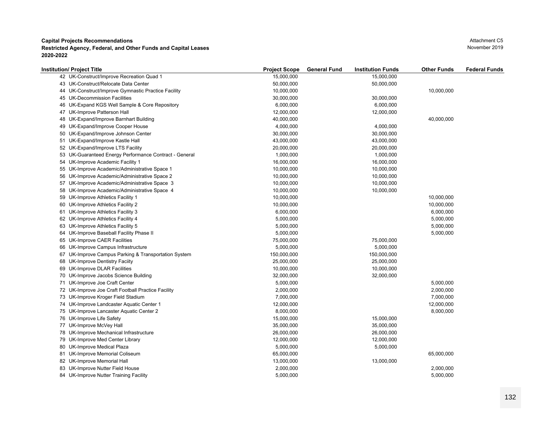| 15,000,000<br>42 UK-Construct/Improve Recreation Quad 1<br>15,000,000<br>43 UK-Construct/Relocate Data Center<br>50,000,000<br>50,000,000<br>44 UK-Construct/Improve Gymnastic Practice Facility<br>10,000,000<br>10,000,000<br>45 UK-Decommission Facilities<br>30,000,000<br>30,000,000<br>46 UK-Expand KGS Well Sample & Core Repository<br>6,000,000<br>6,000,000<br>47 UK-Improve Patterson Hall<br>12,000,000<br>12,000,000<br>UK-Expand/Improve Barnhart Building<br>40,000,000<br>40,000,000<br>48<br>49 UK-Expand/Improve Cooper House<br>4,000,000<br>4,000,000<br>50 UK-Expand/Improve Johnson Center<br>30,000,000<br>30,000,000<br>51 UK-Expand/Improve Kastle Hall<br>43,000,000<br>43,000,000<br>52 UK-Expand/Improve LTS Facility<br>20,000,000<br>20,000,000<br>53 UK-Guaranteed Energy Performance Contract - General<br>1,000,000<br>1,000,000<br>54 UK-Improve Academic Facility 1<br>16,000,000<br>16,000,000<br>55 UK-Improve Academic/Administrative Space 1<br>10,000,000<br>10,000,000<br>56 UK-Improve Academic/Administrative Space 2<br>10,000,000<br>10,000,000<br>57 UK-Improve Academic/Administrative Space 3<br>10,000,000<br>10,000,000<br>58 UK-Improve Academic/Administrative Space 4<br>10,000,000<br>10,000,000<br>10,000,000<br>59 UK-Improve Athletics Facility 1<br>10,000,000<br>60 UK-Improve Athletics Facility 2<br>10,000,000<br>10,000,000<br>61 UK-Improve Athletics Facility 3<br>6,000,000<br>6,000,000<br>62 UK-Improve Athletics Facility 4<br>5,000,000<br>5,000,000<br>63 UK-Improve Athletics Facility 5<br>5,000,000<br>5,000,000<br>64 UK-Improve Baseball Facility Phase II<br>5,000,000<br>5,000,000<br>65 UK-Improve CAER Facilities<br>75,000,000<br>75,000,000<br>66 UK-Improve Campus Infrastructure<br>5,000,000<br>5,000,000<br>67 UK-Improve Campus Parking & Transportation System<br>150,000,000<br>150,000,000<br>68 UK-Improve Dentistry Faciity<br>25,000,000<br>25,000,000<br>69 UK-Improve DLAR Facilities<br>10,000,000<br>10,000,000<br>70 UK-Improve Jacobs Science Building<br>32,000,000<br>32,000,000<br>71 UK-Improve Joe Craft Center<br>5,000,000<br>5,000,000<br>72 UK-Improve Joe Craft Football Practice Facility<br>2,000,000<br>2,000,000<br>73 UK-Improve Kroger Field Stadium<br>7,000,000<br>7,000,000<br>12,000,000<br>12,000,000<br>74 UK-Improve Landcaster Aquatic Center 1<br>75 UK-Improve Lancaster Aquatic Center 2<br>8,000,000<br>8,000,000<br>76 UK-Improve Life Safety<br>15,000,000<br>15,000,000<br>77 UK-Improve McVey Hall<br>35,000,000<br>35,000,000<br>78 UK-Improve Mechanical Infrastructure<br>26,000,000<br>26,000,000<br>79 UK-Improve Med Center Library<br>12,000,000<br>12,000,000<br>80 UK-Improve Medical Plaza<br>5,000,000<br>5,000,000<br>81 UK-Improve Memorial Coliseum<br>65,000,000<br>65,000,000<br>13,000,000<br>13,000,000<br>82 UK-Improve Memorial Hall<br>2,000,000<br>2,000,000<br>83 UK-Improve Nutter Field House | <b>Institution/ Project Title</b>      | <b>Project Scope</b> | <b>General Fund</b> | <b>Institution Funds</b> | <b>Other Funds</b> | <b>Federal Funds</b> |
|-----------------------------------------------------------------------------------------------------------------------------------------------------------------------------------------------------------------------------------------------------------------------------------------------------------------------------------------------------------------------------------------------------------------------------------------------------------------------------------------------------------------------------------------------------------------------------------------------------------------------------------------------------------------------------------------------------------------------------------------------------------------------------------------------------------------------------------------------------------------------------------------------------------------------------------------------------------------------------------------------------------------------------------------------------------------------------------------------------------------------------------------------------------------------------------------------------------------------------------------------------------------------------------------------------------------------------------------------------------------------------------------------------------------------------------------------------------------------------------------------------------------------------------------------------------------------------------------------------------------------------------------------------------------------------------------------------------------------------------------------------------------------------------------------------------------------------------------------------------------------------------------------------------------------------------------------------------------------------------------------------------------------------------------------------------------------------------------------------------------------------------------------------------------------------------------------------------------------------------------------------------------------------------------------------------------------------------------------------------------------------------------------------------------------------------------------------------------------------------------------------------------------------------------------------------------------------------------------------------------------------------------------------------------------------------------------------------------------------------------------------------------------------------------------------------------------------------------------------------------------------------------------------------------------------------------------------------|----------------------------------------|----------------------|---------------------|--------------------------|--------------------|----------------------|
|                                                                                                                                                                                                                                                                                                                                                                                                                                                                                                                                                                                                                                                                                                                                                                                                                                                                                                                                                                                                                                                                                                                                                                                                                                                                                                                                                                                                                                                                                                                                                                                                                                                                                                                                                                                                                                                                                                                                                                                                                                                                                                                                                                                                                                                                                                                                                                                                                                                                                                                                                                                                                                                                                                                                                                                                                                                                                                                                                           |                                        |                      |                     |                          |                    |                      |
|                                                                                                                                                                                                                                                                                                                                                                                                                                                                                                                                                                                                                                                                                                                                                                                                                                                                                                                                                                                                                                                                                                                                                                                                                                                                                                                                                                                                                                                                                                                                                                                                                                                                                                                                                                                                                                                                                                                                                                                                                                                                                                                                                                                                                                                                                                                                                                                                                                                                                                                                                                                                                                                                                                                                                                                                                                                                                                                                                           |                                        |                      |                     |                          |                    |                      |
|                                                                                                                                                                                                                                                                                                                                                                                                                                                                                                                                                                                                                                                                                                                                                                                                                                                                                                                                                                                                                                                                                                                                                                                                                                                                                                                                                                                                                                                                                                                                                                                                                                                                                                                                                                                                                                                                                                                                                                                                                                                                                                                                                                                                                                                                                                                                                                                                                                                                                                                                                                                                                                                                                                                                                                                                                                                                                                                                                           |                                        |                      |                     |                          |                    |                      |
|                                                                                                                                                                                                                                                                                                                                                                                                                                                                                                                                                                                                                                                                                                                                                                                                                                                                                                                                                                                                                                                                                                                                                                                                                                                                                                                                                                                                                                                                                                                                                                                                                                                                                                                                                                                                                                                                                                                                                                                                                                                                                                                                                                                                                                                                                                                                                                                                                                                                                                                                                                                                                                                                                                                                                                                                                                                                                                                                                           |                                        |                      |                     |                          |                    |                      |
|                                                                                                                                                                                                                                                                                                                                                                                                                                                                                                                                                                                                                                                                                                                                                                                                                                                                                                                                                                                                                                                                                                                                                                                                                                                                                                                                                                                                                                                                                                                                                                                                                                                                                                                                                                                                                                                                                                                                                                                                                                                                                                                                                                                                                                                                                                                                                                                                                                                                                                                                                                                                                                                                                                                                                                                                                                                                                                                                                           |                                        |                      |                     |                          |                    |                      |
|                                                                                                                                                                                                                                                                                                                                                                                                                                                                                                                                                                                                                                                                                                                                                                                                                                                                                                                                                                                                                                                                                                                                                                                                                                                                                                                                                                                                                                                                                                                                                                                                                                                                                                                                                                                                                                                                                                                                                                                                                                                                                                                                                                                                                                                                                                                                                                                                                                                                                                                                                                                                                                                                                                                                                                                                                                                                                                                                                           |                                        |                      |                     |                          |                    |                      |
|                                                                                                                                                                                                                                                                                                                                                                                                                                                                                                                                                                                                                                                                                                                                                                                                                                                                                                                                                                                                                                                                                                                                                                                                                                                                                                                                                                                                                                                                                                                                                                                                                                                                                                                                                                                                                                                                                                                                                                                                                                                                                                                                                                                                                                                                                                                                                                                                                                                                                                                                                                                                                                                                                                                                                                                                                                                                                                                                                           |                                        |                      |                     |                          |                    |                      |
|                                                                                                                                                                                                                                                                                                                                                                                                                                                                                                                                                                                                                                                                                                                                                                                                                                                                                                                                                                                                                                                                                                                                                                                                                                                                                                                                                                                                                                                                                                                                                                                                                                                                                                                                                                                                                                                                                                                                                                                                                                                                                                                                                                                                                                                                                                                                                                                                                                                                                                                                                                                                                                                                                                                                                                                                                                                                                                                                                           |                                        |                      |                     |                          |                    |                      |
|                                                                                                                                                                                                                                                                                                                                                                                                                                                                                                                                                                                                                                                                                                                                                                                                                                                                                                                                                                                                                                                                                                                                                                                                                                                                                                                                                                                                                                                                                                                                                                                                                                                                                                                                                                                                                                                                                                                                                                                                                                                                                                                                                                                                                                                                                                                                                                                                                                                                                                                                                                                                                                                                                                                                                                                                                                                                                                                                                           |                                        |                      |                     |                          |                    |                      |
|                                                                                                                                                                                                                                                                                                                                                                                                                                                                                                                                                                                                                                                                                                                                                                                                                                                                                                                                                                                                                                                                                                                                                                                                                                                                                                                                                                                                                                                                                                                                                                                                                                                                                                                                                                                                                                                                                                                                                                                                                                                                                                                                                                                                                                                                                                                                                                                                                                                                                                                                                                                                                                                                                                                                                                                                                                                                                                                                                           |                                        |                      |                     |                          |                    |                      |
|                                                                                                                                                                                                                                                                                                                                                                                                                                                                                                                                                                                                                                                                                                                                                                                                                                                                                                                                                                                                                                                                                                                                                                                                                                                                                                                                                                                                                                                                                                                                                                                                                                                                                                                                                                                                                                                                                                                                                                                                                                                                                                                                                                                                                                                                                                                                                                                                                                                                                                                                                                                                                                                                                                                                                                                                                                                                                                                                                           |                                        |                      |                     |                          |                    |                      |
|                                                                                                                                                                                                                                                                                                                                                                                                                                                                                                                                                                                                                                                                                                                                                                                                                                                                                                                                                                                                                                                                                                                                                                                                                                                                                                                                                                                                                                                                                                                                                                                                                                                                                                                                                                                                                                                                                                                                                                                                                                                                                                                                                                                                                                                                                                                                                                                                                                                                                                                                                                                                                                                                                                                                                                                                                                                                                                                                                           |                                        |                      |                     |                          |                    |                      |
|                                                                                                                                                                                                                                                                                                                                                                                                                                                                                                                                                                                                                                                                                                                                                                                                                                                                                                                                                                                                                                                                                                                                                                                                                                                                                                                                                                                                                                                                                                                                                                                                                                                                                                                                                                                                                                                                                                                                                                                                                                                                                                                                                                                                                                                                                                                                                                                                                                                                                                                                                                                                                                                                                                                                                                                                                                                                                                                                                           |                                        |                      |                     |                          |                    |                      |
|                                                                                                                                                                                                                                                                                                                                                                                                                                                                                                                                                                                                                                                                                                                                                                                                                                                                                                                                                                                                                                                                                                                                                                                                                                                                                                                                                                                                                                                                                                                                                                                                                                                                                                                                                                                                                                                                                                                                                                                                                                                                                                                                                                                                                                                                                                                                                                                                                                                                                                                                                                                                                                                                                                                                                                                                                                                                                                                                                           |                                        |                      |                     |                          |                    |                      |
|                                                                                                                                                                                                                                                                                                                                                                                                                                                                                                                                                                                                                                                                                                                                                                                                                                                                                                                                                                                                                                                                                                                                                                                                                                                                                                                                                                                                                                                                                                                                                                                                                                                                                                                                                                                                                                                                                                                                                                                                                                                                                                                                                                                                                                                                                                                                                                                                                                                                                                                                                                                                                                                                                                                                                                                                                                                                                                                                                           |                                        |                      |                     |                          |                    |                      |
|                                                                                                                                                                                                                                                                                                                                                                                                                                                                                                                                                                                                                                                                                                                                                                                                                                                                                                                                                                                                                                                                                                                                                                                                                                                                                                                                                                                                                                                                                                                                                                                                                                                                                                                                                                                                                                                                                                                                                                                                                                                                                                                                                                                                                                                                                                                                                                                                                                                                                                                                                                                                                                                                                                                                                                                                                                                                                                                                                           |                                        |                      |                     |                          |                    |                      |
|                                                                                                                                                                                                                                                                                                                                                                                                                                                                                                                                                                                                                                                                                                                                                                                                                                                                                                                                                                                                                                                                                                                                                                                                                                                                                                                                                                                                                                                                                                                                                                                                                                                                                                                                                                                                                                                                                                                                                                                                                                                                                                                                                                                                                                                                                                                                                                                                                                                                                                                                                                                                                                                                                                                                                                                                                                                                                                                                                           |                                        |                      |                     |                          |                    |                      |
|                                                                                                                                                                                                                                                                                                                                                                                                                                                                                                                                                                                                                                                                                                                                                                                                                                                                                                                                                                                                                                                                                                                                                                                                                                                                                                                                                                                                                                                                                                                                                                                                                                                                                                                                                                                                                                                                                                                                                                                                                                                                                                                                                                                                                                                                                                                                                                                                                                                                                                                                                                                                                                                                                                                                                                                                                                                                                                                                                           |                                        |                      |                     |                          |                    |                      |
|                                                                                                                                                                                                                                                                                                                                                                                                                                                                                                                                                                                                                                                                                                                                                                                                                                                                                                                                                                                                                                                                                                                                                                                                                                                                                                                                                                                                                                                                                                                                                                                                                                                                                                                                                                                                                                                                                                                                                                                                                                                                                                                                                                                                                                                                                                                                                                                                                                                                                                                                                                                                                                                                                                                                                                                                                                                                                                                                                           |                                        |                      |                     |                          |                    |                      |
|                                                                                                                                                                                                                                                                                                                                                                                                                                                                                                                                                                                                                                                                                                                                                                                                                                                                                                                                                                                                                                                                                                                                                                                                                                                                                                                                                                                                                                                                                                                                                                                                                                                                                                                                                                                                                                                                                                                                                                                                                                                                                                                                                                                                                                                                                                                                                                                                                                                                                                                                                                                                                                                                                                                                                                                                                                                                                                                                                           |                                        |                      |                     |                          |                    |                      |
|                                                                                                                                                                                                                                                                                                                                                                                                                                                                                                                                                                                                                                                                                                                                                                                                                                                                                                                                                                                                                                                                                                                                                                                                                                                                                                                                                                                                                                                                                                                                                                                                                                                                                                                                                                                                                                                                                                                                                                                                                                                                                                                                                                                                                                                                                                                                                                                                                                                                                                                                                                                                                                                                                                                                                                                                                                                                                                                                                           |                                        |                      |                     |                          |                    |                      |
|                                                                                                                                                                                                                                                                                                                                                                                                                                                                                                                                                                                                                                                                                                                                                                                                                                                                                                                                                                                                                                                                                                                                                                                                                                                                                                                                                                                                                                                                                                                                                                                                                                                                                                                                                                                                                                                                                                                                                                                                                                                                                                                                                                                                                                                                                                                                                                                                                                                                                                                                                                                                                                                                                                                                                                                                                                                                                                                                                           |                                        |                      |                     |                          |                    |                      |
|                                                                                                                                                                                                                                                                                                                                                                                                                                                                                                                                                                                                                                                                                                                                                                                                                                                                                                                                                                                                                                                                                                                                                                                                                                                                                                                                                                                                                                                                                                                                                                                                                                                                                                                                                                                                                                                                                                                                                                                                                                                                                                                                                                                                                                                                                                                                                                                                                                                                                                                                                                                                                                                                                                                                                                                                                                                                                                                                                           |                                        |                      |                     |                          |                    |                      |
|                                                                                                                                                                                                                                                                                                                                                                                                                                                                                                                                                                                                                                                                                                                                                                                                                                                                                                                                                                                                                                                                                                                                                                                                                                                                                                                                                                                                                                                                                                                                                                                                                                                                                                                                                                                                                                                                                                                                                                                                                                                                                                                                                                                                                                                                                                                                                                                                                                                                                                                                                                                                                                                                                                                                                                                                                                                                                                                                                           |                                        |                      |                     |                          |                    |                      |
|                                                                                                                                                                                                                                                                                                                                                                                                                                                                                                                                                                                                                                                                                                                                                                                                                                                                                                                                                                                                                                                                                                                                                                                                                                                                                                                                                                                                                                                                                                                                                                                                                                                                                                                                                                                                                                                                                                                                                                                                                                                                                                                                                                                                                                                                                                                                                                                                                                                                                                                                                                                                                                                                                                                                                                                                                                                                                                                                                           |                                        |                      |                     |                          |                    |                      |
|                                                                                                                                                                                                                                                                                                                                                                                                                                                                                                                                                                                                                                                                                                                                                                                                                                                                                                                                                                                                                                                                                                                                                                                                                                                                                                                                                                                                                                                                                                                                                                                                                                                                                                                                                                                                                                                                                                                                                                                                                                                                                                                                                                                                                                                                                                                                                                                                                                                                                                                                                                                                                                                                                                                                                                                                                                                                                                                                                           |                                        |                      |                     |                          |                    |                      |
|                                                                                                                                                                                                                                                                                                                                                                                                                                                                                                                                                                                                                                                                                                                                                                                                                                                                                                                                                                                                                                                                                                                                                                                                                                                                                                                                                                                                                                                                                                                                                                                                                                                                                                                                                                                                                                                                                                                                                                                                                                                                                                                                                                                                                                                                                                                                                                                                                                                                                                                                                                                                                                                                                                                                                                                                                                                                                                                                                           |                                        |                      |                     |                          |                    |                      |
|                                                                                                                                                                                                                                                                                                                                                                                                                                                                                                                                                                                                                                                                                                                                                                                                                                                                                                                                                                                                                                                                                                                                                                                                                                                                                                                                                                                                                                                                                                                                                                                                                                                                                                                                                                                                                                                                                                                                                                                                                                                                                                                                                                                                                                                                                                                                                                                                                                                                                                                                                                                                                                                                                                                                                                                                                                                                                                                                                           |                                        |                      |                     |                          |                    |                      |
|                                                                                                                                                                                                                                                                                                                                                                                                                                                                                                                                                                                                                                                                                                                                                                                                                                                                                                                                                                                                                                                                                                                                                                                                                                                                                                                                                                                                                                                                                                                                                                                                                                                                                                                                                                                                                                                                                                                                                                                                                                                                                                                                                                                                                                                                                                                                                                                                                                                                                                                                                                                                                                                                                                                                                                                                                                                                                                                                                           |                                        |                      |                     |                          |                    |                      |
|                                                                                                                                                                                                                                                                                                                                                                                                                                                                                                                                                                                                                                                                                                                                                                                                                                                                                                                                                                                                                                                                                                                                                                                                                                                                                                                                                                                                                                                                                                                                                                                                                                                                                                                                                                                                                                                                                                                                                                                                                                                                                                                                                                                                                                                                                                                                                                                                                                                                                                                                                                                                                                                                                                                                                                                                                                                                                                                                                           |                                        |                      |                     |                          |                    |                      |
|                                                                                                                                                                                                                                                                                                                                                                                                                                                                                                                                                                                                                                                                                                                                                                                                                                                                                                                                                                                                                                                                                                                                                                                                                                                                                                                                                                                                                                                                                                                                                                                                                                                                                                                                                                                                                                                                                                                                                                                                                                                                                                                                                                                                                                                                                                                                                                                                                                                                                                                                                                                                                                                                                                                                                                                                                                                                                                                                                           |                                        |                      |                     |                          |                    |                      |
|                                                                                                                                                                                                                                                                                                                                                                                                                                                                                                                                                                                                                                                                                                                                                                                                                                                                                                                                                                                                                                                                                                                                                                                                                                                                                                                                                                                                                                                                                                                                                                                                                                                                                                                                                                                                                                                                                                                                                                                                                                                                                                                                                                                                                                                                                                                                                                                                                                                                                                                                                                                                                                                                                                                                                                                                                                                                                                                                                           |                                        |                      |                     |                          |                    |                      |
|                                                                                                                                                                                                                                                                                                                                                                                                                                                                                                                                                                                                                                                                                                                                                                                                                                                                                                                                                                                                                                                                                                                                                                                                                                                                                                                                                                                                                                                                                                                                                                                                                                                                                                                                                                                                                                                                                                                                                                                                                                                                                                                                                                                                                                                                                                                                                                                                                                                                                                                                                                                                                                                                                                                                                                                                                                                                                                                                                           |                                        |                      |                     |                          |                    |                      |
|                                                                                                                                                                                                                                                                                                                                                                                                                                                                                                                                                                                                                                                                                                                                                                                                                                                                                                                                                                                                                                                                                                                                                                                                                                                                                                                                                                                                                                                                                                                                                                                                                                                                                                                                                                                                                                                                                                                                                                                                                                                                                                                                                                                                                                                                                                                                                                                                                                                                                                                                                                                                                                                                                                                                                                                                                                                                                                                                                           |                                        |                      |                     |                          |                    |                      |
|                                                                                                                                                                                                                                                                                                                                                                                                                                                                                                                                                                                                                                                                                                                                                                                                                                                                                                                                                                                                                                                                                                                                                                                                                                                                                                                                                                                                                                                                                                                                                                                                                                                                                                                                                                                                                                                                                                                                                                                                                                                                                                                                                                                                                                                                                                                                                                                                                                                                                                                                                                                                                                                                                                                                                                                                                                                                                                                                                           |                                        |                      |                     |                          |                    |                      |
|                                                                                                                                                                                                                                                                                                                                                                                                                                                                                                                                                                                                                                                                                                                                                                                                                                                                                                                                                                                                                                                                                                                                                                                                                                                                                                                                                                                                                                                                                                                                                                                                                                                                                                                                                                                                                                                                                                                                                                                                                                                                                                                                                                                                                                                                                                                                                                                                                                                                                                                                                                                                                                                                                                                                                                                                                                                                                                                                                           |                                        |                      |                     |                          |                    |                      |
|                                                                                                                                                                                                                                                                                                                                                                                                                                                                                                                                                                                                                                                                                                                                                                                                                                                                                                                                                                                                                                                                                                                                                                                                                                                                                                                                                                                                                                                                                                                                                                                                                                                                                                                                                                                                                                                                                                                                                                                                                                                                                                                                                                                                                                                                                                                                                                                                                                                                                                                                                                                                                                                                                                                                                                                                                                                                                                                                                           |                                        |                      |                     |                          |                    |                      |
|                                                                                                                                                                                                                                                                                                                                                                                                                                                                                                                                                                                                                                                                                                                                                                                                                                                                                                                                                                                                                                                                                                                                                                                                                                                                                                                                                                                                                                                                                                                                                                                                                                                                                                                                                                                                                                                                                                                                                                                                                                                                                                                                                                                                                                                                                                                                                                                                                                                                                                                                                                                                                                                                                                                                                                                                                                                                                                                                                           |                                        |                      |                     |                          |                    |                      |
|                                                                                                                                                                                                                                                                                                                                                                                                                                                                                                                                                                                                                                                                                                                                                                                                                                                                                                                                                                                                                                                                                                                                                                                                                                                                                                                                                                                                                                                                                                                                                                                                                                                                                                                                                                                                                                                                                                                                                                                                                                                                                                                                                                                                                                                                                                                                                                                                                                                                                                                                                                                                                                                                                                                                                                                                                                                                                                                                                           |                                        |                      |                     |                          |                    |                      |
|                                                                                                                                                                                                                                                                                                                                                                                                                                                                                                                                                                                                                                                                                                                                                                                                                                                                                                                                                                                                                                                                                                                                                                                                                                                                                                                                                                                                                                                                                                                                                                                                                                                                                                                                                                                                                                                                                                                                                                                                                                                                                                                                                                                                                                                                                                                                                                                                                                                                                                                                                                                                                                                                                                                                                                                                                                                                                                                                                           |                                        |                      |                     |                          |                    |                      |
|                                                                                                                                                                                                                                                                                                                                                                                                                                                                                                                                                                                                                                                                                                                                                                                                                                                                                                                                                                                                                                                                                                                                                                                                                                                                                                                                                                                                                                                                                                                                                                                                                                                                                                                                                                                                                                                                                                                                                                                                                                                                                                                                                                                                                                                                                                                                                                                                                                                                                                                                                                                                                                                                                                                                                                                                                                                                                                                                                           |                                        |                      |                     |                          |                    |                      |
|                                                                                                                                                                                                                                                                                                                                                                                                                                                                                                                                                                                                                                                                                                                                                                                                                                                                                                                                                                                                                                                                                                                                                                                                                                                                                                                                                                                                                                                                                                                                                                                                                                                                                                                                                                                                                                                                                                                                                                                                                                                                                                                                                                                                                                                                                                                                                                                                                                                                                                                                                                                                                                                                                                                                                                                                                                                                                                                                                           |                                        |                      |                     |                          |                    |                      |
|                                                                                                                                                                                                                                                                                                                                                                                                                                                                                                                                                                                                                                                                                                                                                                                                                                                                                                                                                                                                                                                                                                                                                                                                                                                                                                                                                                                                                                                                                                                                                                                                                                                                                                                                                                                                                                                                                                                                                                                                                                                                                                                                                                                                                                                                                                                                                                                                                                                                                                                                                                                                                                                                                                                                                                                                                                                                                                                                                           | 84 UK-Improve Nutter Training Facility | 5,000,000            |                     |                          | 5,000,000          |                      |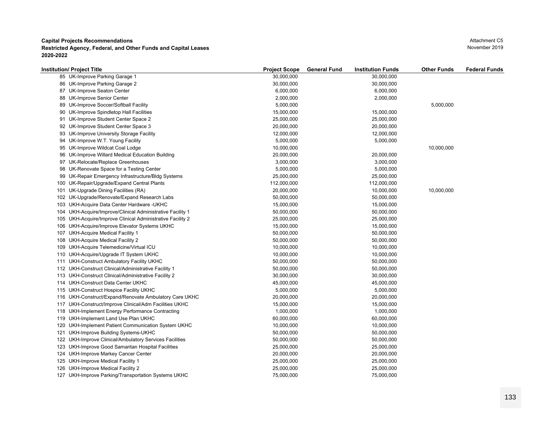| Institution/ Project Title                                 | <b>Project Scope</b> | <b>General Fund</b> | <b>Institution Funds</b> | <b>Other Funds</b> | <b>Federal Funds</b> |
|------------------------------------------------------------|----------------------|---------------------|--------------------------|--------------------|----------------------|
| 85 UK-Improve Parking Garage 1                             | 30,000,000           |                     | 30,000,000               |                    |                      |
| 86 UK-Improve Parking Garage 2                             | 30,000,000           |                     | 30,000,000               |                    |                      |
| 87 UK-Improve Seaton Center                                | 6,000,000            |                     | 6,000,000                |                    |                      |
| 88 UK-Improve Senior Center                                | 2,000,000            |                     | 2,000,000                |                    |                      |
| 89 UK-Improve Soccer/Softball Facility                     | 5,000,000            |                     |                          | 5,000,000          |                      |
| 90 UK-Improve Spindletop Hall Facilities                   | 15,000,000           |                     | 15,000,000               |                    |                      |
| 91 UK-Improve Student Center Space 2                       | 25,000,000           |                     | 25,000,000               |                    |                      |
| 92 UK-Improve Student Center Space 3                       | 20,000,000           |                     | 20,000,000               |                    |                      |
| 93 UK-Improve University Storage Facility                  | 12,000,000           |                     | 12,000,000               |                    |                      |
| 94 UK-Improve W.T. Young Facility                          | 5,000,000            |                     | 5,000,000                |                    |                      |
| 95 UK-Improve Wildcat Coal Lodge                           | 10,000,000           |                     |                          | 10,000,000         |                      |
| 96 UK-Improve Willard Medical Education Building           | 20,000,000           |                     | 20,000,000               |                    |                      |
| 97 UK-Relocate/Replace Greenhouses                         | 3,000,000            |                     | 3,000,000                |                    |                      |
| 98 UK-Renovate Space for a Testing Center                  | 5,000,000            |                     | 5,000,000                |                    |                      |
| 99 UK-Repair Emergency Infrastructure/Bldg Systems         | 25,000,000           |                     | 25,000,000               |                    |                      |
| 100 UK-Repair/Upgrade/Expand Central Plants                | 112,000,000          |                     | 112,000,000              |                    |                      |
| 101 UK-Upgrade Dining Facilities (RA)                      | 20,000,000           |                     | 10,000,000               | 10,000,000         |                      |
| 102 UK-Upgrade/Renovate/Expand Research Labs               | 50,000,000           |                     | 50,000,000               |                    |                      |
| 103 UKH-Acquire Data Center Hardware - UKHC                | 15,000,000           |                     | 15,000,000               |                    |                      |
| 104 UKH-Acquire/Improve/Clinical Administrative Facility 1 | 50,000,000           |                     | 50,000,000               |                    |                      |
| 105 UKH-Acquire/Improve Clinical Administrative Facility 2 | 25,000,000           |                     | 25,000,000               |                    |                      |
| 106 UKH-Acquire/Improve Elevator Systems UKHC              | 15,000,000           |                     | 15,000,000               |                    |                      |
| 107 UKH-Acquire Medical Facility 1                         | 50,000,000           |                     | 50,000,000               |                    |                      |
| 108 UKH-Acquire Medical Facility 2                         | 50,000,000           |                     | 50,000,000               |                    |                      |
| 109 UKH-Acquire Telemedicine/Virtual ICU                   | 10,000,000           |                     | 10,000,000               |                    |                      |
| 110 UKH-Acquire/Upgrade IT System UKHC                     | 10,000,000           |                     | 10,000,000               |                    |                      |
| 111 UKH-Construct Ambulatory Facility UKHC                 | 50,000,000           |                     | 50,000,000               |                    |                      |
| 112 UKH-Construct Clinical/Administrative Facility 1       | 50,000,000           |                     | 50,000,000               |                    |                      |
| 113 UKH-Construct Clinical/Administrative Facility 2       | 30,000,000           |                     | 30,000,000               |                    |                      |
| 114 UKH-Construct Data Center UKHC                         | 45,000,000           |                     | 45,000,000               |                    |                      |
| 115 UKH-Construct Hospice Facility UKHC                    | 5,000,000            |                     | 5,000,000                |                    |                      |
| 116 UKH-Construct/Expand/Renovate Ambulatory Care UKHC     | 20,000,000           |                     | 20,000,000               |                    |                      |
| 117 UKH-Construct/Improve Clinical/Adm Facilities UKHC     | 15,000,000           |                     | 15,000,000               |                    |                      |
| 118 UKH-Implement Energy Performance Contracting           | 1,000,000            |                     | 1,000,000                |                    |                      |
| 119 UKH-Implement Land Use Plan UKHC                       | 60,000,000           |                     | 60,000,000               |                    |                      |
| 120 UKH-Implement Patient Communication System UKHC        | 10,000,000           |                     | 10,000,000               |                    |                      |
| 121 UKH-Improve Building Systems-UKHC                      | 50,000,000           |                     | 50,000,000               |                    |                      |
| 122 UKH-Improve Clinical/Ambulatory Services Facilities    | 50,000,000           |                     | 50,000,000               |                    |                      |
| 123 UKH-Improve Good Samaritan Hospital Facilities         | 25,000,000           |                     | 25,000,000               |                    |                      |
| 124 UKH-Improve Markey Cancer Center                       | 20,000,000           |                     | 20,000,000               |                    |                      |
| 125 UKH-Improve Medical Facility 1                         | 25,000,000           |                     | 25,000,000               |                    |                      |
| 126 UKH-Improve Medical Facility 2                         | 25,000,000           |                     | 25,000,000               |                    |                      |
| 127 UKH-Improve Parking/Transportation Systems UKHC        | 75,000,000           |                     | 75,000,000               |                    |                      |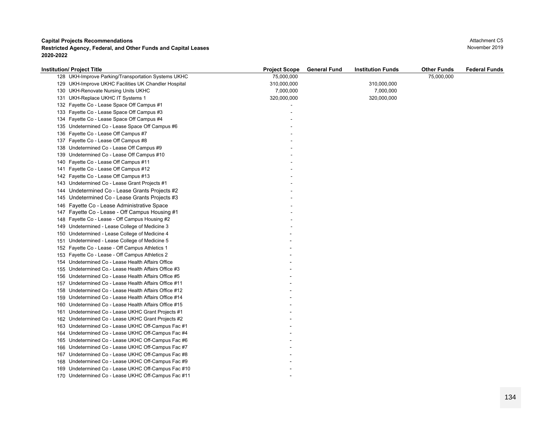| <b>Institution/ Project Title</b>                     | <b>Project Scope</b> | <b>General Fund</b> | <b>Institution Funds</b> | <b>Other Funds</b> | <b>Federal Funds</b> |
|-------------------------------------------------------|----------------------|---------------------|--------------------------|--------------------|----------------------|
| 128 UKH-Improve Parking/Transportation Systems UKHC   | 75,000,000           |                     |                          | 75,000,000         |                      |
| 129 UKH-Improve UKHC Facilities UK Chandler Hospital  | 310,000,000          |                     | 310,000,000              |                    |                      |
| 130 UKH-Renovate Nursing Units UKHC                   | 7,000,000            |                     | 7,000,000                |                    |                      |
| 131 UKH-Replace UKHC IT Systems 1                     | 320,000,000          |                     | 320,000,000              |                    |                      |
| 132 Fayette Co - Lease Space Off Campus #1            |                      |                     |                          |                    |                      |
| 133 Fayette Co - Lease Space Off Campus #3            |                      |                     |                          |                    |                      |
| 134 Fayette Co - Lease Space Off Campus #4            |                      |                     |                          |                    |                      |
| 135 Undetermined Co - Lease Space Off Campus #6       |                      |                     |                          |                    |                      |
| 136 Fayette Co - Lease Off Campus #7                  |                      |                     |                          |                    |                      |
| 137 Fayette Co - Lease Off Campus #8                  |                      |                     |                          |                    |                      |
| 138 Undetermined Co - Lease Off Campus #9             |                      |                     |                          |                    |                      |
| 139 Undetermined Co - Lease Off Campus #10            |                      |                     |                          |                    |                      |
| 140 Fayette Co - Lease Off Campus #11                 |                      |                     |                          |                    |                      |
| 141 Fayette Co - Lease Off Campus #12                 |                      |                     |                          |                    |                      |
| 142 Fayette Co - Lease Off Campus #13                 |                      |                     |                          |                    |                      |
| 143 Undetermined Co - Lease Grant Projects #1         |                      |                     |                          |                    |                      |
| Undetermined Co - Lease Grants Projects #2<br>144     |                      |                     |                          |                    |                      |
| 145 Undetermined Co - Lease Grants Projects #3        |                      |                     |                          |                    |                      |
| 146 Fayette Co - Lease Administrative Space           |                      |                     |                          |                    |                      |
| Fayette Co - Lease - Off Campus Housing #1<br>147     |                      |                     |                          |                    |                      |
| 148 Fayette Co - Lease - Off Campus Housing #2        |                      |                     |                          |                    |                      |
| 149 Undetermined - Lease College of Medicine 3        |                      |                     |                          |                    |                      |
| 150 Undetermined - Lease College of Medicine 4        |                      |                     |                          |                    |                      |
| 151 Undetermined - Lease College of Medicine 5        |                      |                     |                          |                    |                      |
| 152 Fayette Co - Lease - Off Campus Athletics 1       |                      |                     |                          |                    |                      |
| 153 Fayette Co - Lease - Off Campus Athletics 2       |                      |                     |                          |                    |                      |
| 154 Undetermined Co - Lease Health Affairs Office     |                      |                     |                          |                    |                      |
| 155 Undetermined Co.- Lease Health Affairs Office #3  |                      |                     |                          |                    |                      |
| 156 Undetermined Co - Lease Health Affairs Office #5  |                      |                     |                          |                    |                      |
| 157 Undetermined Co - Lease Health Affairs Office #11 |                      |                     |                          |                    |                      |
| 158 Undetermined Co - Lease Health Affairs Office #12 |                      |                     |                          |                    |                      |
| 159 Undetermined Co - Lease Health Affairs Office #14 |                      |                     |                          |                    |                      |
| 160 Undetermined Co - Lease Health Affairs Office #15 |                      |                     |                          |                    |                      |
| 161 Undetermined Co - Lease UKHC Grant Projects #1    |                      |                     |                          |                    |                      |
| 162 Undetermined Co - Lease UKHC Grant Projects #2    |                      |                     |                          |                    |                      |
| 163 Undetermined Co - Lease UKHC Off-Campus Fac #1    |                      |                     |                          |                    |                      |
| Undetermined Co - Lease UKHC Off-Campus Fac #4<br>164 |                      |                     |                          |                    |                      |
| 165 Undetermined Co - Lease UKHC Off-Campus Fac #6    |                      |                     |                          |                    |                      |
| 166 Undetermined Co - Lease UKHC Off-Campus Fac #7    |                      |                     |                          |                    |                      |
| Undetermined Co - Lease UKHC Off-Campus Fac #8<br>167 |                      |                     |                          |                    |                      |
| 168 Undetermined Co - Lease UKHC Off-Campus Fac #9    |                      |                     |                          |                    |                      |
| 169 Undetermined Co - Lease UKHC Off-Campus Fac #10   |                      |                     |                          |                    |                      |
| 170 Undetermined Co - Lease UKHC Off-Campus Fac #11   |                      |                     |                          |                    |                      |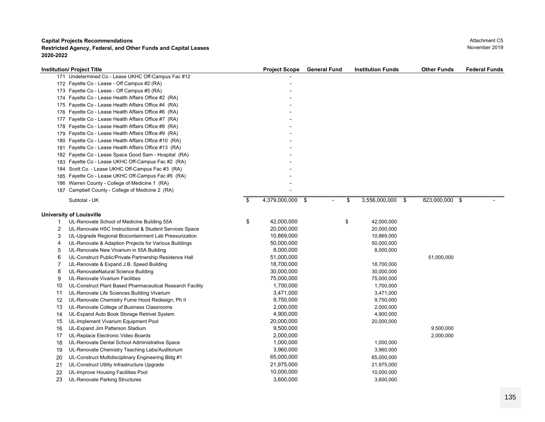**Restricted Agency, Federal, and Other Funds and Capital Leases** November 2019 **November 2019 2020-2022**

|     | <b>Institution/ Project Title</b>                         | <b>Project Scope</b>        | <b>General Fund</b> | <b>Institution Funds</b> | <b>Other Funds</b> | <b>Federal Funds</b> |
|-----|-----------------------------------------------------------|-----------------------------|---------------------|--------------------------|--------------------|----------------------|
|     | 171 Undetermined Co - Lease UKHC Off-Campus Fac #12       |                             |                     |                          |                    |                      |
|     | 172 Fayette Co - Lease - Off Campus #2 (RA)               |                             |                     |                          |                    |                      |
|     | 173 Fayette Co - Lease - Off Campus #5 (RA)               |                             |                     |                          |                    |                      |
|     | 174 Fayette Co - Lease Health Affairs Office #2 (RA)      |                             |                     |                          |                    |                      |
|     | 175 Fayette Co - Lease Health Affairs Office #4 (RA)      |                             |                     |                          |                    |                      |
| 176 | Fayette Co - Lease Health Affairs Office #6 (RA)          |                             |                     |                          |                    |                      |
| 177 | Fayette Co - Lease Health Affairs Office #7 (RA)          |                             |                     |                          |                    |                      |
|     | 178 Fayette Co - Lease Health Affairs Office #8 (RA)      |                             |                     |                          |                    |                      |
| 179 | Fayette Co - Lease Health Affairs Office #9 (RA)          |                             |                     |                          |                    |                      |
| 180 | Fayette Co - Lease Health Affairs Office #10 (RA)         |                             |                     |                          |                    |                      |
| 181 | Fayette Co - Lease Health Affairs Office #13 (RA)         |                             |                     |                          |                    |                      |
|     | 182 Fayette Co - Lease Space Good Sam - Hospital (RA)     |                             |                     |                          |                    |                      |
| 183 | Fayette Co - Lease UKHC Off-Campus Fac #2 (RA)            |                             |                     |                          |                    |                      |
| 184 | Scott Co. - Lease UKHC Off-Campus Fac #3 (RA)             |                             |                     |                          |                    |                      |
| 185 | Fayette Co - Lease UKHC Off-Campus Fac #5 (RA)            |                             |                     |                          |                    |                      |
|     | 186 Warren County - College of Medicine 1 (RA)            |                             |                     |                          |                    |                      |
|     | 187 Campbell County - College of Medicine 2 (RA)          |                             |                     |                          |                    |                      |
|     | Subtotal - UK                                             | \$<br>4,379,000,000<br>- \$ |                     | \$<br>3,556,000,000 \$   | 823,000,000 \$     |                      |
|     |                                                           |                             |                     |                          |                    |                      |
|     | <b>University of Louisville</b>                           |                             |                     |                          |                    |                      |
| 1   | UL-Renovate School of Medicine Building 55A               | \$<br>42,000,000            |                     | \$<br>42,000,000         |                    |                      |
| 2   | UL-Renovate HSC Instructional & Student Services Space    | 20,000,000                  |                     | 20,000,000               |                    |                      |
| 3   | UL-Upgrade Regional Biocontainment Lab Pressurization     | 10,869,000                  |                     | 10,869,000               |                    |                      |
| 4   | UL-Renovate & Adaption Projects for Various Buildings     | 50,000,000                  |                     | 50,000,000               |                    |                      |
| 5   | UL-Renovate New Vivarium in 55A Building                  | 8,000,000                   |                     | 8,000,000                |                    |                      |
| 6   | UL-Construct Public/Private Partnership Residence Hall    | 51,000,000                  |                     |                          | 51,000,000         |                      |
| 7   | UL-Renovate & Expand J.B. Speed Building                  | 18,700,000                  |                     | 18,700,000               |                    |                      |
| 8   | UL-RenovateNatural Science Building                       | 30,000,000                  |                     | 30,000,000               |                    |                      |
| 9   | UL-Renovate Vivarium Facilities                           | 75,000,000                  |                     | 75,000,000               |                    |                      |
| 10  | UL-Construct Plant Based Pharmaceutical Research Facility | 1,700,000                   |                     | 1,700,000                |                    |                      |
| 11  | UL-Renovate Life Sciences Building Vivarium               | 3,471,000                   |                     | 3,471,000                |                    |                      |
| 12  | UL-Renovate Chemistry Fume Hood Redesign, Ph II           | 9,750,000                   |                     | 9,750,000                |                    |                      |
| 13  | UL-Renovate College of Business Classrooms                | 2,000,000                   |                     | 2,000,000                |                    |                      |
| 14  | UL-Expand Auto Book Storage Retrivel System               | 4,900,000                   |                     | 4,900,000                |                    |                      |
| 15  | UL-Implement Vivarium Equipment Pool                      | 20,000,000                  |                     | 20,000,000               |                    |                      |
| 16  | UL-Expand Jim Patterson Stadium                           | 9,500,000                   |                     |                          | 9,500,000          |                      |
| 17  | UL-Replace Electronic Video Boards                        | 2,000,000                   |                     |                          | 2,000,000          |                      |
| 18  | UL-Renovate Dental School Administrative Space            | 1,000,000                   |                     | 1,000,000                |                    |                      |
| 19  | UL-Renovate Chemistry Teaching Labs/Auditorium            | 3,960,000                   |                     | 3,960,000                |                    |                      |
| 20  | UL-Construct Multidisciplinary Engineering Bldg #1        | 65,000,000                  |                     | 65,000,000               |                    |                      |
| 21  | UL-Construct Utility Infrastructure Upgrade               | 21,975,000                  |                     | 21,975,000               |                    |                      |
| 22  | UL-Improve Housing Facilities Pool                        | 10,000,000                  |                     | 10,000,000               |                    |                      |

23 UL-Renovate Parking Structures 3,600,000 3,600,000

Attachment C5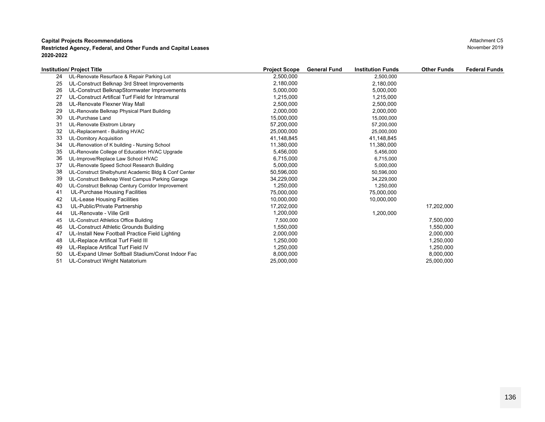| Attachment C5 |
|---------------|
| November 2019 |

|    | <b>Institution/ Project Title</b>                    | <b>Project Scope</b> | <b>General Fund</b><br><b>Institution Funds</b> | <b>Other Funds</b> | <b>Federal Funds</b> |
|----|------------------------------------------------------|----------------------|-------------------------------------------------|--------------------|----------------------|
| 24 | UL-Renovate Resurface & Repair Parking Lot           | 2,500,000            | 2,500,000                                       |                    |                      |
| 25 | UL-Construct Belknap 3rd Street Improvements         | 2,180,000            | 2,180,000                                       |                    |                      |
| 26 | UL-Construct BelknapStormwater Improvements          | 5,000,000            | 5,000,000                                       |                    |                      |
| 27 | UL-Construct Artifical Turf Field for Intramural     | 1,215,000            | 1,215,000                                       |                    |                      |
| 28 | UL-Renovate Flexner Way Mall                         | 2,500,000            | 2,500,000                                       |                    |                      |
| 29 | UL-Renovate Belknap Physical Plant Building          | 2,000,000            | 2,000,000                                       |                    |                      |
| 30 | UL-Purchase Land                                     | 15,000,000           | 15,000,000                                      |                    |                      |
| 31 | UL-Renovate Ekstrom Library                          | 57,200,000           | 57,200,000                                      |                    |                      |
| 32 | UL-Replacement - Building HVAC                       | 25,000,000           | 25,000,000                                      |                    |                      |
| 33 | <b>UL-Domitory Acquisition</b>                       | 41,148,845           | 41,148,845                                      |                    |                      |
| 34 | UL-Renovation of K building - Nursing School         | 11,380,000           | 11,380,000                                      |                    |                      |
| 35 | UL-Renovate College of Education HVAC Upgrade        | 5,456,000            | 5,456,000                                       |                    |                      |
| 36 | UL-Improve/Replace Law School HVAC                   | 6,715,000            | 6,715,000                                       |                    |                      |
| 37 | UL-Renovate Speed School Research Building           | 5,000,000            | 5,000,000                                       |                    |                      |
| 38 | UL-Construct Shelbyhurst Academic Bldg & Conf Center | 50,596,000           | 50,596,000                                      |                    |                      |
| 39 | UL-Construct Belknap West Campus Parking Garage      | 34,229,000           | 34,229,000                                      |                    |                      |
| 40 | UL-Construct Belknap Century Corridor Improvement    | 1,250,000            | 1,250,000                                       |                    |                      |
| 41 | UL-Purchase Housing Facilities                       | 75,000,000           | 75,000,000                                      |                    |                      |
| 42 | UL-Lease Housing Facilities                          | 10,000,000           | 10,000,000                                      |                    |                      |
| 43 | UL-Public/Private Partnership                        | 17,202,000           |                                                 | 17,202,000         |                      |
| 44 | UL-Renovate - Ville Grill                            | 1,200,000            | 1,200,000                                       |                    |                      |
| 45 | UL-Construct Athletics Office Building               | 7,500,000            |                                                 | 7,500,000          |                      |
| 46 | UL-Construct Athletic Grounds Building               | 1,550,000            |                                                 | 1,550,000          |                      |
| 47 | UL-Install New Football Practice Field Lighting      | 2,000,000            |                                                 | 2,000,000          |                      |
| 48 | UL-Replace Artifical Turf Field III                  | 1,250,000            |                                                 | 1,250,000          |                      |
| 49 | UL-Replace Artifical Turf Field IV                   | 1,250,000            |                                                 | 1,250,000          |                      |
| 50 | UL-Expand Ulmer Softball Stadium/Const Indoor Fac    | 8,000,000            |                                                 | 8,000,000          |                      |
| 51 | UL-Construct Wright Natatorium                       | 25,000,000           |                                                 | 25,000,000         |                      |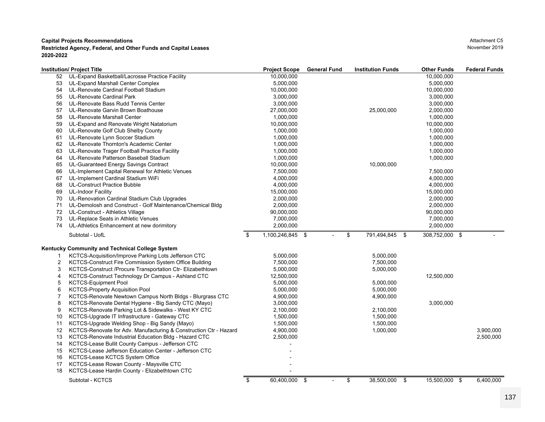|    | <b>Institution/ Project Title</b>                                 | <b>Project Scope</b>   | <b>General Fund</b> | <b>Institution Funds</b> | <b>Other Funds</b> | <b>Federal Funds</b> |
|----|-------------------------------------------------------------------|------------------------|---------------------|--------------------------|--------------------|----------------------|
| 52 | UL-Expand Basketball/Lacrosse Practice Facility                   | 10,000,000             |                     |                          | 10,000,000         |                      |
| 53 | UL-Expand Marshall Center Complex                                 | 5,000,000              |                     |                          | 5,000,000          |                      |
| 54 | UL-Renovate Cardinal Football Stadium                             | 10,000,000             |                     |                          | 10,000,000         |                      |
| 55 | UL-Renovate Cardinal Park                                         | 3,000,000              |                     |                          | 3,000,000          |                      |
| 56 | UL-Renovate Bass Rudd Tennis Center                               | 3,000,000              |                     |                          | 3,000,000          |                      |
| 57 | UL-Renovate Garvin Brown Boathouse                                | 27,000,000             |                     | 25,000,000               | 2,000,000          |                      |
| 58 | UL-Renovate Marshall Center                                       | 1,000,000              |                     |                          | 1,000,000          |                      |
| 59 | UL-Expand and Renovate Wright Natatorium                          | 10,000,000             |                     |                          | 10,000,000         |                      |
| 60 | UL-Renovate Golf Club Shelby County                               | 1,000,000              |                     |                          | 1,000,000          |                      |
| 61 | UL-Renovate Lynn Soccer Stadium                                   | 1,000,000              |                     |                          | 1,000,000          |                      |
| 62 | UL-Renovate Thornton's Academic Center                            | 1,000,000              |                     |                          | 1,000,000          |                      |
| 63 | UL-Renovate Trager Football Practice Facility                     | 1,000,000              |                     |                          | 1,000,000          |                      |
| 64 | UL-Renovate Patterson Baseball Stadium                            | 1,000,000              |                     |                          | 1,000,000          |                      |
| 65 | UL-Guaranteed Energy Savings Contract                             | 10,000,000             |                     | 10,000,000               |                    |                      |
| 66 | UL-Implement Capital Renewal for Athletic Venues                  | 7,500,000              |                     |                          | 7,500,000          |                      |
| 67 | UL-Implement Cardinal Stadium WiFi                                | 4,000,000              |                     |                          | 4,000,000          |                      |
| 68 | <b>UL-Construct Practice Bubble</b>                               | 4,000,000              |                     |                          | 4,000,000          |                      |
| 69 | <b>UL-Indoor Facility</b>                                         | 15,000,000             |                     |                          | 15,000,000         |                      |
| 70 | UL-Renovation Cardinal Stadium Club Upgrades                      | 2,000,000              |                     |                          | 2,000,000          |                      |
| 71 | UL-Demolosh and Construct - Golf Maintenance/Chemical Bldg        | 2,000,000              |                     |                          | 2,000,000          |                      |
| 72 | UL-Construct - Athletics Village                                  | 90,000,000             |                     |                          | 90,000,000         |                      |
| 73 | UL-Replace Seats in Athletic Venues                               | 7,000,000              |                     |                          | 7,000,000          |                      |
| 74 | UL-Athletics Enhancement at new dorimitory                        | 2,000,000              |                     |                          | 2,000,000          |                      |
|    |                                                                   |                        |                     |                          |                    |                      |
|    | Subtotal - UofL                                                   | \$<br>1,100,246,845 \$ | $\blacksquare$      | \$<br>791,494,845 \$     | 308,752,000 \$     |                      |
|    | Kentucky Community and Technical College System                   |                        |                     |                          |                    |                      |
|    | KCTCS-Acquisition/Improve Parking Lots Jefferson CTC              | 5,000,000              |                     | 5,000,000                |                    |                      |
| 2  | KCTCS-Construct Fire Commission System Office Building            | 7,500,000              |                     | 7,500,000                |                    |                      |
|    |                                                                   |                        |                     |                          |                    |                      |
| 3  | KCTCS-Construct /Procure Transportation Ctr- Elizabethtown        | 5,000,000              |                     | 5,000,000                |                    |                      |
| 4  | KCTCS-Construct Technology Dr Campus - Ashland CTC                | 12,500,000             |                     |                          | 12,500,000         |                      |
| 5  | <b>KCTCS-Equipment Pool</b>                                       | 5,000,000              |                     | 5,000,000                |                    |                      |
| 6  | <b>KCTCS-Property Acquisition Pool</b>                            | 5,000,000              |                     | 5,000,000                |                    |                      |
|    | KCTCS-Renovate Newtown Campus North Bldgs - Blurgrass CTC         | 4,900,000              |                     | 4,900,000                |                    |                      |
| 8  | KCTCS-Renovate Dental Hygiene - Big Sandy CTC (Mayo)              | 3,000,000              |                     |                          | 3,000,000          |                      |
| 9  | KCTCS-Renovate Parking Lot & Sidewalks - West KY CTC              | 2,100,000              |                     | 2,100,000                |                    |                      |
| 10 | KCTCS-Upgrade IT Infrastructure - Gateway CTC                     | 1,500,000              |                     | 1,500,000                |                    |                      |
| 11 | KCTCS-Upgrade Welding Shop - Big Sandy (Mayo)                     | 1,500,000              |                     | 1,500,000                |                    |                      |
| 12 | KCTCS-Renovate for Adv. Manufacturing & Construction Ctr - Hazard | 4,900,000              |                     | 1,000,000                |                    | 3,900,000            |
| 13 | KCTCS-Renovate Industrial Education Bldg - Hazard CTC             | 2,500,000              |                     |                          |                    | 2,500,000            |
| 14 | KCTCS-Lease Bullit County Campus - Jefferson CTC                  |                        |                     |                          |                    |                      |
| 15 | KCTCS-Lease Jefferson Education Center - Jefferson CTC            |                        |                     |                          |                    |                      |
| 16 | KCTCS-Lease KCTCS System Office                                   |                        |                     |                          |                    |                      |
| 17 | KCTCS-Lease Rowan County - Maysville CTC                          |                        |                     |                          |                    |                      |
| 18 | KCTCS-Lease Hardin County - Elizabethtown CTC                     |                        |                     |                          |                    |                      |
|    | Subtotal - KCTCS                                                  | \$<br>60,400,000 \$    | $\overline{a}$      | \$<br>38,500,000 \$      | 15,500,000 \$      | 6,400,000            |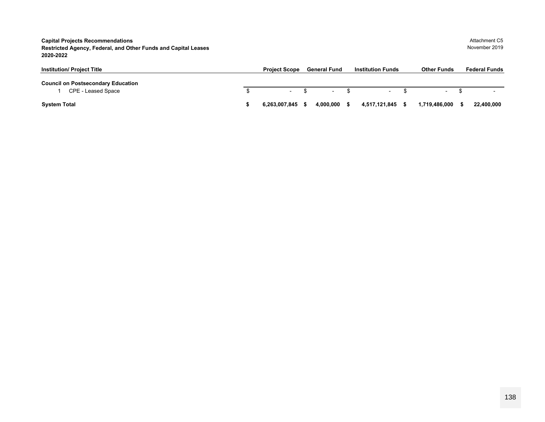**Capital Projects Recommendations Restricted Agency, Federal, and Other Funds and Capital Leases** November 2019 **2020-2022**

| <b>Institution/ Project Title</b>                               | <b>Project Scope</b> | <b>General Fund</b>      | <b>Institution Funds</b> | <b>Other Funds</b>       | <b>Federal Funds</b> |
|-----------------------------------------------------------------|----------------------|--------------------------|--------------------------|--------------------------|----------------------|
| <b>Council on Postsecondary Education</b><br>CPE - Leased Space | $\sim$               | $\overline{\phantom{0}}$ | $\sim$                   | $\overline{\phantom{0}}$ |                      |
| <b>System Total</b>                                             | 6.263.007.845        | 4.000.000                | 4,517,121,845            | 1.719.486.000            | 22,400,000           |